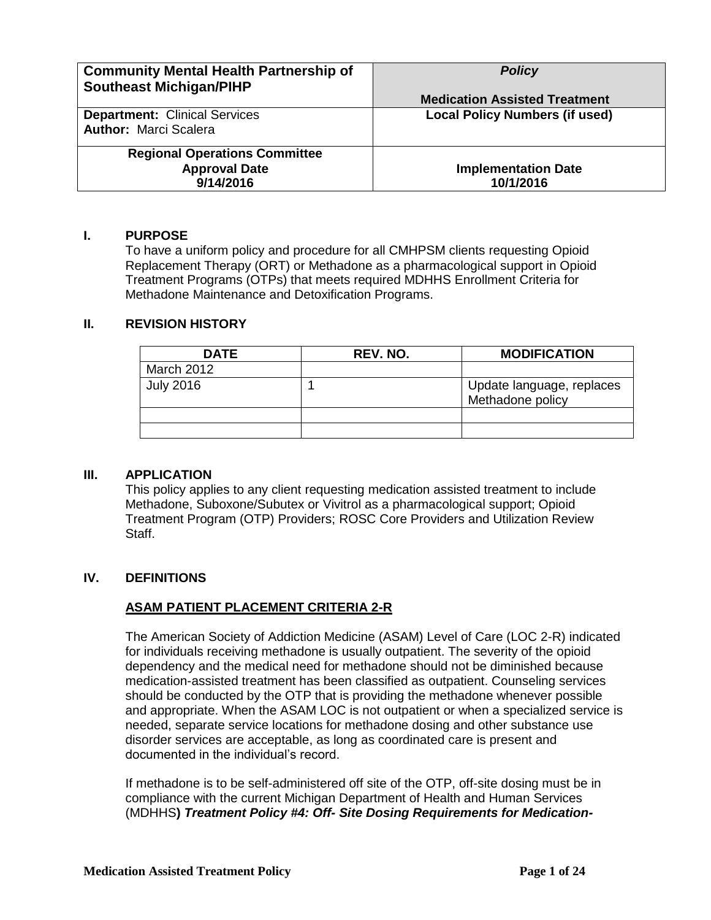| <b>Community Mental Health Partnership of</b><br><b>Southeast Michigan/PIHP</b> | <b>Policy</b><br><b>Medication Assisted Treatment</b> |
|---------------------------------------------------------------------------------|-------------------------------------------------------|
| <b>Department: Clinical Services</b><br><b>Author: Marci Scalera</b>            | <b>Local Policy Numbers (if used)</b>                 |
| <b>Regional Operations Committee</b><br><b>Approval Date</b><br>9/14/2016       | <b>Implementation Date</b><br>10/1/2016               |

### **I. PURPOSE**

To have a uniform policy and procedure for all CMHPSM clients requesting Opioid Replacement Therapy (ORT) or Methadone as a pharmacological support in Opioid Treatment Programs (OTPs) that meets required MDHHS Enrollment Criteria for Methadone Maintenance and Detoxification Programs.

### **II. REVISION HISTORY**

| <b>DATE</b>       | REV. NO. | <b>MODIFICATION</b>                           |
|-------------------|----------|-----------------------------------------------|
| <b>March 2012</b> |          |                                               |
| <b>July 2016</b>  |          | Update language, replaces<br>Methadone policy |
|                   |          |                                               |
|                   |          |                                               |

## **III. APPLICATION**

This policy applies to any client requesting medication assisted treatment to include Methadone, Suboxone/Subutex or Vivitrol as a pharmacological support; Opioid Treatment Program (OTP) Providers; ROSC Core Providers and Utilization Review Staff.

### **IV. DEFINITIONS**

## **ASAM PATIENT PLACEMENT CRITERIA 2-R**

The American Society of Addiction Medicine (ASAM) Level of Care (LOC 2-R) indicated for individuals receiving methadone is usually outpatient. The severity of the opioid dependency and the medical need for methadone should not be diminished because medication-assisted treatment has been classified as outpatient. Counseling services should be conducted by the OTP that is providing the methadone whenever possible and appropriate. When the ASAM LOC is not outpatient or when a specialized service is needed, separate service locations for methadone dosing and other substance use disorder services are acceptable, as long as coordinated care is present and documented in the individual's record.

If methadone is to be self-administered off site of the OTP, off-site dosing must be in compliance with the current Michigan Department of Health and Human Services (MDHHS**)** *Treatment Policy #4: Off- Site Dosing Requirements for Medication-*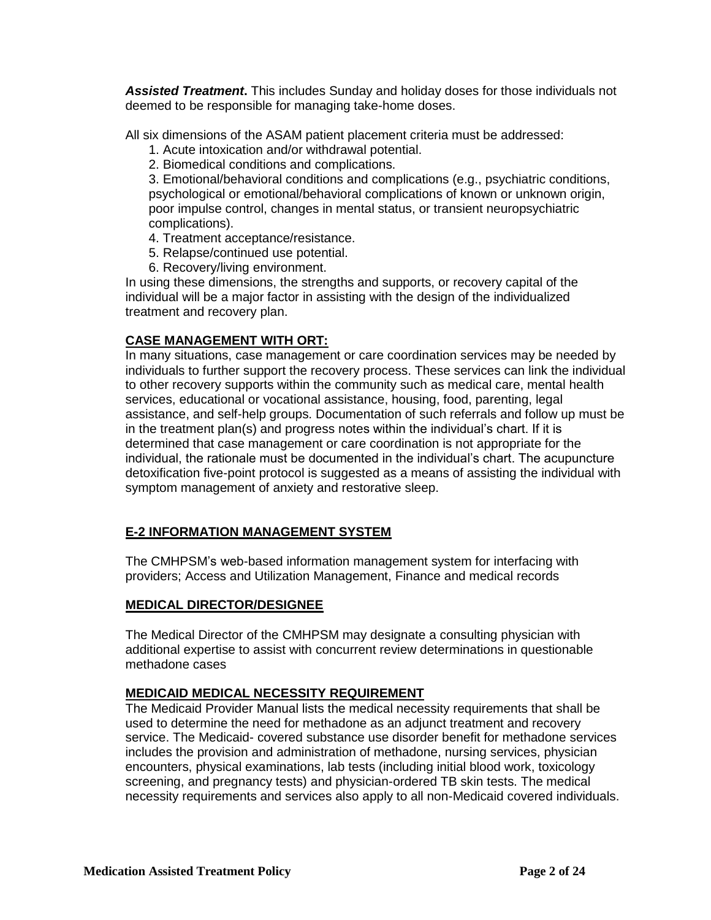*Assisted Treatment***.** This includes Sunday and holiday doses for those individuals not deemed to be responsible for managing take-home doses.

All six dimensions of the ASAM patient placement criteria must be addressed:

- 1. Acute intoxication and/or withdrawal potential.
- 2. Biomedical conditions and complications.

3. Emotional/behavioral conditions and complications (e.g., psychiatric conditions, psychological or emotional/behavioral complications of known or unknown origin, poor impulse control, changes in mental status, or transient neuropsychiatric complications).

- 4. Treatment acceptance/resistance.
- 5. Relapse/continued use potential.
- 6. Recovery/living environment.

In using these dimensions, the strengths and supports, or recovery capital of the individual will be a major factor in assisting with the design of the individualized treatment and recovery plan.

## **CASE MANAGEMENT WITH ORT:**

In many situations, case management or care coordination services may be needed by individuals to further support the recovery process. These services can link the individual to other recovery supports within the community such as medical care, mental health services, educational or vocational assistance, housing, food, parenting, legal assistance, and self-help groups. Documentation of such referrals and follow up must be in the treatment plan(s) and progress notes within the individual's chart. If it is determined that case management or care coordination is not appropriate for the individual, the rationale must be documented in the individual's chart. The acupuncture detoxification five-point protocol is suggested as a means of assisting the individual with symptom management of anxiety and restorative sleep.

## **E-2 INFORMATION MANAGEMENT SYSTEM**

The CMHPSM's web-based information management system for interfacing with providers; Access and Utilization Management, Finance and medical records

### **MEDICAL DIRECTOR/DESIGNEE**

The Medical Director of the CMHPSM may designate a consulting physician with additional expertise to assist with concurrent review determinations in questionable methadone cases

## **MEDICAID MEDICAL NECESSITY REQUIREMENT**

The Medicaid Provider Manual lists the medical necessity requirements that shall be used to determine the need for methadone as an adjunct treatment and recovery service. The Medicaid- covered substance use disorder benefit for methadone services includes the provision and administration of methadone, nursing services, physician encounters, physical examinations, lab tests (including initial blood work, toxicology screening, and pregnancy tests) and physician-ordered TB skin tests. The medical necessity requirements and services also apply to all non-Medicaid covered individuals.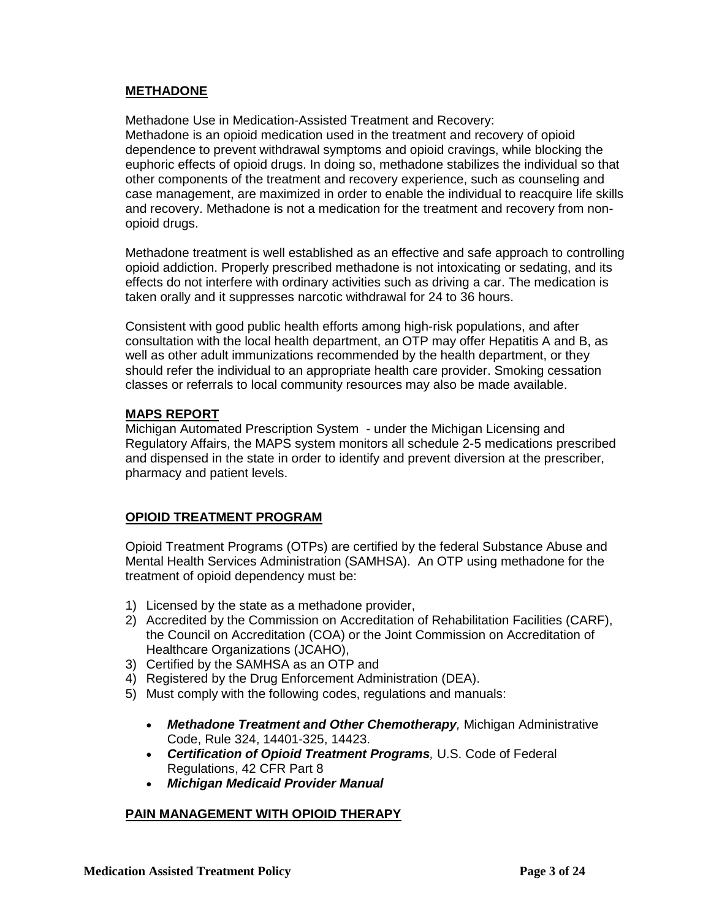## **METHADONE**

Methadone Use in Medication-Assisted Treatment and Recovery: Methadone is an opioid medication used in the treatment and recovery of opioid dependence to prevent withdrawal symptoms and opioid cravings, while blocking the euphoric effects of opioid drugs. In doing so, methadone stabilizes the individual so that other components of the treatment and recovery experience, such as counseling and case management, are maximized in order to enable the individual to reacquire life skills and recovery. Methadone is not a medication for the treatment and recovery from nonopioid drugs.

Methadone treatment is well established as an effective and safe approach to controlling opioid addiction. Properly prescribed methadone is not intoxicating or sedating, and its effects do not interfere with ordinary activities such as driving a car. The medication is taken orally and it suppresses narcotic withdrawal for 24 to 36 hours.

Consistent with good public health efforts among high-risk populations, and after consultation with the local health department, an OTP may offer Hepatitis A and B, as well as other adult immunizations recommended by the health department, or they should refer the individual to an appropriate health care provider. Smoking cessation classes or referrals to local community resources may also be made available.

### **MAPS REPORT**

Michigan Automated Prescription System - under the Michigan Licensing and Regulatory Affairs, the MAPS system monitors all schedule 2-5 medications prescribed and dispensed in the state in order to identify and prevent diversion at the prescriber, pharmacy and patient levels.

## **OPIOID TREATMENT PROGRAM**

Opioid Treatment Programs (OTPs) are certified by the federal Substance Abuse and Mental Health Services Administration (SAMHSA). An OTP using methadone for the treatment of opioid dependency must be:

- 1) Licensed by the state as a methadone provider,
- 2) Accredited by the Commission on Accreditation of Rehabilitation Facilities (CARF), the Council on Accreditation (COA) or the Joint Commission on Accreditation of Healthcare Organizations (JCAHO),
- 3) Certified by the SAMHSA as an OTP and
- 4) Registered by the Drug Enforcement Administration (DEA).
- 5) Must comply with the following codes, regulations and manuals:
	- *Methadone Treatment and Other Chemotherapy,* Michigan Administrative Code, Rule 324, 14401-325, 14423.
	- *Certification of Opioid Treatment Programs,* U.S. Code of Federal Regulations, 42 CFR Part 8
	- *Michigan Medicaid Provider Manual*

## **PAIN MANAGEMENT WITH OPIOID THERAPY**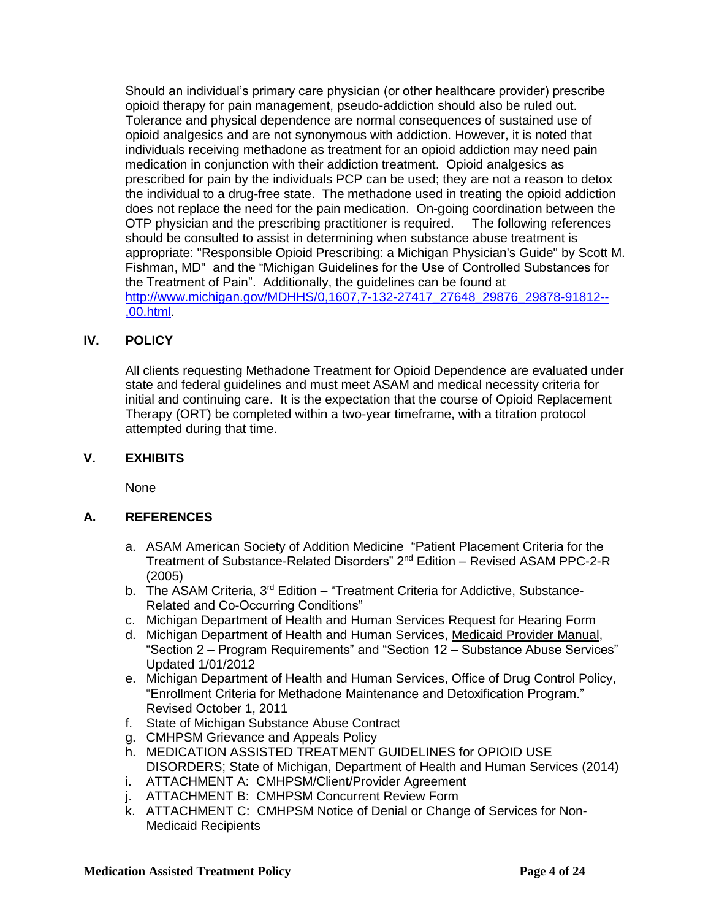Should an individual's primary care physician (or other healthcare provider) prescribe opioid therapy for pain management, pseudo-addiction should also be ruled out. Tolerance and physical dependence are normal consequences of sustained use of opioid analgesics and are not synonymous with addiction. However, it is noted that individuals receiving methadone as treatment for an opioid addiction may need pain medication in conjunction with their addiction treatment. Opioid analgesics as prescribed for pain by the individuals PCP can be used; they are not a reason to detox the individual to a drug-free state. The methadone used in treating the opioid addiction does not replace the need for the pain medication. On-going coordination between the OTP physician and the prescribing practitioner is required. The following references should be consulted to assist in determining when substance abuse treatment is appropriate: "Responsible Opioid Prescribing: a Michigan Physician's Guide" by Scott M. Fishman, MD" and the "Michigan Guidelines for the Use of Controlled Substances for the Treatment of Pain". Additionally, the guidelines can be found at [http://www.michigan.gov/MDHHS/0,1607,7-132-27417\\_27648\\_29876\\_29878-91812--](http://www.michigan.gov/mdch/0,1607,7-132-27417_27648_29876_29878-91812--,00.html) [,00.html.](http://www.michigan.gov/mdch/0,1607,7-132-27417_27648_29876_29878-91812--,00.html)

## **IV. POLICY**

All clients requesting Methadone Treatment for Opioid Dependence are evaluated under state and federal guidelines and must meet ASAM and medical necessity criteria for initial and continuing care. It is the expectation that the course of Opioid Replacement Therapy (ORT) be completed within a two-year timeframe, with a titration protocol attempted during that time.

### **V. EXHIBITS**

None

## **A. REFERENCES**

- a. ASAM American Society of Addition Medicine "Patient Placement Criteria for the Treatment of Substance-Related Disorders" 2nd Edition – Revised ASAM PPC-2-R (2005)
- b. The ASAM Criteria,  $3<sup>rd</sup>$  Edition "Treatment Criteria for Addictive, Substance-Related and Co-Occurring Conditions"
- c. Michigan Department of Health and Human Services Request for Hearing Form
- d. Michigan Department of Health and Human Services, Medicaid Provider Manual, "Section 2 – Program Requirements" and "Section 12 – Substance Abuse Services" Updated 1/01/2012
- e. Michigan Department of Health and Human Services, Office of Drug Control Policy, "Enrollment Criteria for Methadone Maintenance and Detoxification Program." Revised October 1, 2011
- f. State of Michigan Substance Abuse Contract
- g. CMHPSM Grievance and Appeals Policy
- h. MEDICATION ASSISTED TREATMENT GUIDELINES for OPIOID USE DISORDERS; State of Michigan, Department of Health and Human Services (2014) i. ATTACHMENT A: CMHPSM/Client/Provider Agreement
- j. ATTACHMENT B: CMHPSM Concurrent Review Form
- k. ATTACHMENT C: CMHPSM Notice of Denial or Change of Services for Non-Medicaid Recipients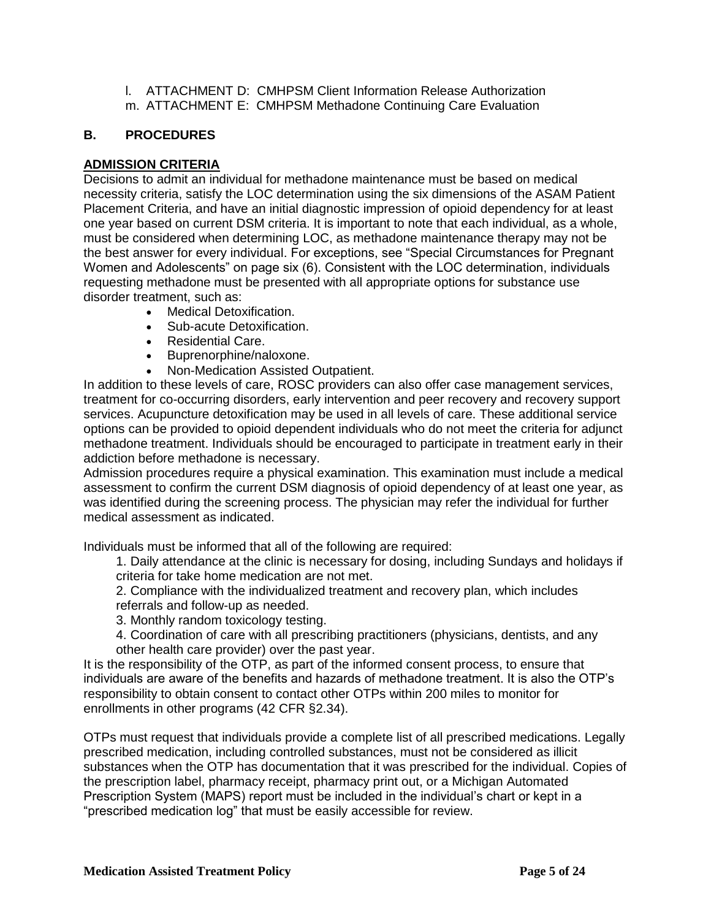l. ATTACHMENT D: CMHPSM Client Information Release Authorization m. ATTACHMENT E: CMHPSM Methadone Continuing Care Evaluation

## **B. PROCEDURES**

## **ADMISSION CRITERIA**

Decisions to admit an individual for methadone maintenance must be based on medical necessity criteria, satisfy the LOC determination using the six dimensions of the ASAM Patient Placement Criteria, and have an initial diagnostic impression of opioid dependency for at least one year based on current DSM criteria. It is important to note that each individual, as a whole, must be considered when determining LOC, as methadone maintenance therapy may not be the best answer for every individual. For exceptions, see "Special Circumstances for Pregnant Women and Adolescents" on page six (6). Consistent with the LOC determination, individuals requesting methadone must be presented with all appropriate options for substance use disorder treatment, such as:

- Medical Detoxification.
- Sub-acute Detoxification.
- Residential Care.
- Buprenorphine/naloxone.
- Non-Medication Assisted Outpatient.

In addition to these levels of care, ROSC providers can also offer case management services, treatment for co-occurring disorders, early intervention and peer recovery and recovery support services. Acupuncture detoxification may be used in all levels of care. These additional service options can be provided to opioid dependent individuals who do not meet the criteria for adjunct methadone treatment. Individuals should be encouraged to participate in treatment early in their addiction before methadone is necessary.

Admission procedures require a physical examination. This examination must include a medical assessment to confirm the current DSM diagnosis of opioid dependency of at least one year, as was identified during the screening process. The physician may refer the individual for further medical assessment as indicated.

Individuals must be informed that all of the following are required:

1. Daily attendance at the clinic is necessary for dosing, including Sundays and holidays if criteria for take home medication are not met.

2. Compliance with the individualized treatment and recovery plan, which includes referrals and follow-up as needed.

- 3. Monthly random toxicology testing.
- 4. Coordination of care with all prescribing practitioners (physicians, dentists, and any other health care provider) over the past year.

It is the responsibility of the OTP, as part of the informed consent process, to ensure that individuals are aware of the benefits and hazards of methadone treatment. It is also the OTP's responsibility to obtain consent to contact other OTPs within 200 miles to monitor for enrollments in other programs (42 CFR §2.34).

OTPs must request that individuals provide a complete list of all prescribed medications. Legally prescribed medication, including controlled substances, must not be considered as illicit substances when the OTP has documentation that it was prescribed for the individual. Copies of the prescription label, pharmacy receipt, pharmacy print out, or a Michigan Automated Prescription System (MAPS) report must be included in the individual's chart or kept in a "prescribed medication log" that must be easily accessible for review.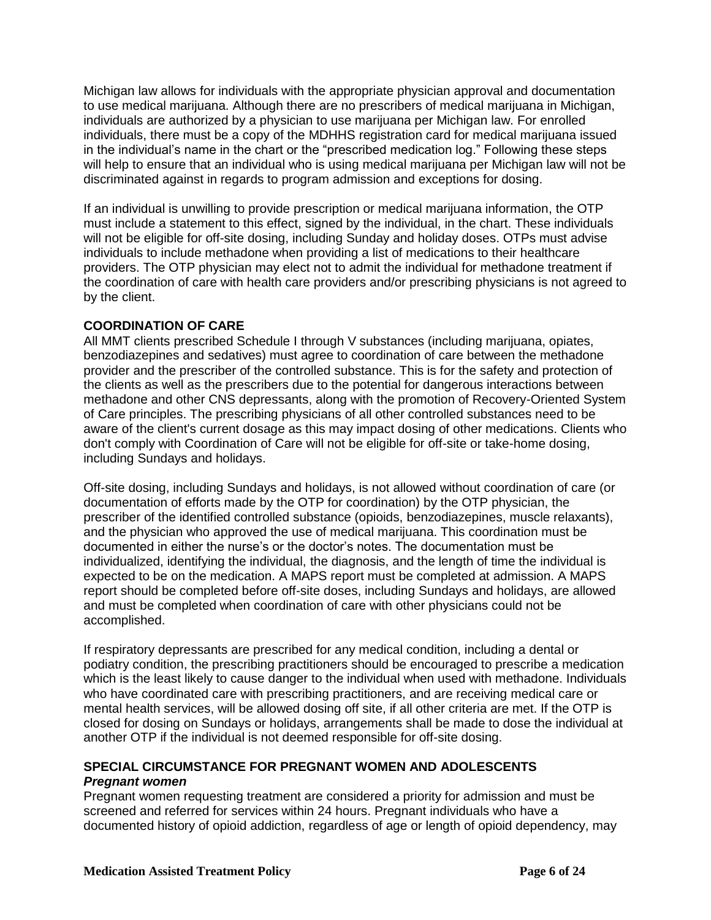Michigan law allows for individuals with the appropriate physician approval and documentation to use medical marijuana. Although there are no prescribers of medical marijuana in Michigan, individuals are authorized by a physician to use marijuana per Michigan law. For enrolled individuals, there must be a copy of the MDHHS registration card for medical marijuana issued in the individual's name in the chart or the "prescribed medication log." Following these steps will help to ensure that an individual who is using medical marijuana per Michigan law will not be discriminated against in regards to program admission and exceptions for dosing.

If an individual is unwilling to provide prescription or medical marijuana information, the OTP must include a statement to this effect, signed by the individual, in the chart. These individuals will not be eligible for off-site dosing, including Sunday and holiday doses. OTPs must advise individuals to include methadone when providing a list of medications to their healthcare providers. The OTP physician may elect not to admit the individual for methadone treatment if the coordination of care with health care providers and/or prescribing physicians is not agreed to by the client.

## **COORDINATION OF CARE**

All MMT clients prescribed Schedule I through V substances (including marijuana, opiates, benzodiazepines and sedatives) must agree to coordination of care between the methadone provider and the prescriber of the controlled substance. This is for the safety and protection of the clients as well as the prescribers due to the potential for dangerous interactions between methadone and other CNS depressants, along with the promotion of Recovery-Oriented System of Care principles. The prescribing physicians of all other controlled substances need to be aware of the client's current dosage as this may impact dosing of other medications. Clients who don't comply with Coordination of Care will not be eligible for off-site or take-home dosing, including Sundays and holidays.

Off-site dosing, including Sundays and holidays, is not allowed without coordination of care (or documentation of efforts made by the OTP for coordination) by the OTP physician, the prescriber of the identified controlled substance (opioids, benzodiazepines, muscle relaxants), and the physician who approved the use of medical marijuana. This coordination must be documented in either the nurse's or the doctor's notes. The documentation must be individualized, identifying the individual, the diagnosis, and the length of time the individual is expected to be on the medication. A MAPS report must be completed at admission. A MAPS report should be completed before off-site doses, including Sundays and holidays, are allowed and must be completed when coordination of care with other physicians could not be accomplished.

If respiratory depressants are prescribed for any medical condition, including a dental or podiatry condition, the prescribing practitioners should be encouraged to prescribe a medication which is the least likely to cause danger to the individual when used with methadone. Individuals who have coordinated care with prescribing practitioners, and are receiving medical care or mental health services, will be allowed dosing off site, if all other criteria are met. If the OTP is closed for dosing on Sundays or holidays, arrangements shall be made to dose the individual at another OTP if the individual is not deemed responsible for off-site dosing.

## **SPECIAL CIRCUMSTANCE FOR PREGNANT WOMEN AND ADOLESCENTS** *Pregnant women*

Pregnant women requesting treatment are considered a priority for admission and must be screened and referred for services within 24 hours. Pregnant individuals who have a documented history of opioid addiction, regardless of age or length of opioid dependency, may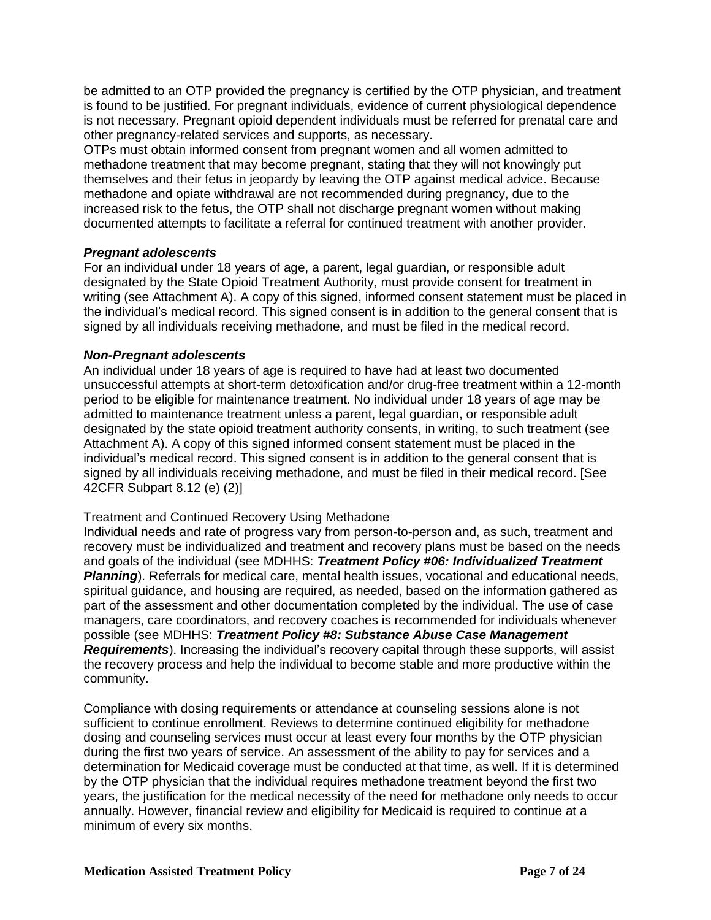be admitted to an OTP provided the pregnancy is certified by the OTP physician, and treatment is found to be justified. For pregnant individuals, evidence of current physiological dependence is not necessary. Pregnant opioid dependent individuals must be referred for prenatal care and other pregnancy-related services and supports, as necessary.

OTPs must obtain informed consent from pregnant women and all women admitted to methadone treatment that may become pregnant, stating that they will not knowingly put themselves and their fetus in jeopardy by leaving the OTP against medical advice. Because methadone and opiate withdrawal are not recommended during pregnancy, due to the increased risk to the fetus, the OTP shall not discharge pregnant women without making documented attempts to facilitate a referral for continued treatment with another provider.

### *Pregnant adolescents*

For an individual under 18 years of age, a parent, legal guardian, or responsible adult designated by the State Opioid Treatment Authority, must provide consent for treatment in writing (see Attachment A). A copy of this signed, informed consent statement must be placed in the individual's medical record. This signed consent is in addition to the general consent that is signed by all individuals receiving methadone, and must be filed in the medical record.

### *Non-Pregnant adolescents*

An individual under 18 years of age is required to have had at least two documented unsuccessful attempts at short-term detoxification and/or drug-free treatment within a 12-month period to be eligible for maintenance treatment. No individual under 18 years of age may be admitted to maintenance treatment unless a parent, legal guardian, or responsible adult designated by the state opioid treatment authority consents, in writing, to such treatment (see Attachment A). A copy of this signed informed consent statement must be placed in the individual's medical record. This signed consent is in addition to the general consent that is signed by all individuals receiving methadone, and must be filed in their medical record. [See 42CFR Subpart 8.12 (e) (2)]

## Treatment and Continued Recovery Using Methadone

Individual needs and rate of progress vary from person-to-person and, as such, treatment and recovery must be individualized and treatment and recovery plans must be based on the needs and goals of the individual (see MDHHS: *Treatment Policy #06: Individualized Treatment*  **Planning**). Referrals for medical care, mental health issues, vocational and educational needs, spiritual guidance, and housing are required, as needed, based on the information gathered as part of the assessment and other documentation completed by the individual. The use of case managers, care coordinators, and recovery coaches is recommended for individuals whenever possible (see MDHHS: *Treatment Policy #8: Substance Abuse Case Management Requirements*). Increasing the individual's recovery capital through these supports, will assist the recovery process and help the individual to become stable and more productive within the community.

Compliance with dosing requirements or attendance at counseling sessions alone is not sufficient to continue enrollment. Reviews to determine continued eligibility for methadone dosing and counseling services must occur at least every four months by the OTP physician during the first two years of service. An assessment of the ability to pay for services and a determination for Medicaid coverage must be conducted at that time, as well. If it is determined by the OTP physician that the individual requires methadone treatment beyond the first two years, the justification for the medical necessity of the need for methadone only needs to occur annually. However, financial review and eligibility for Medicaid is required to continue at a minimum of every six months.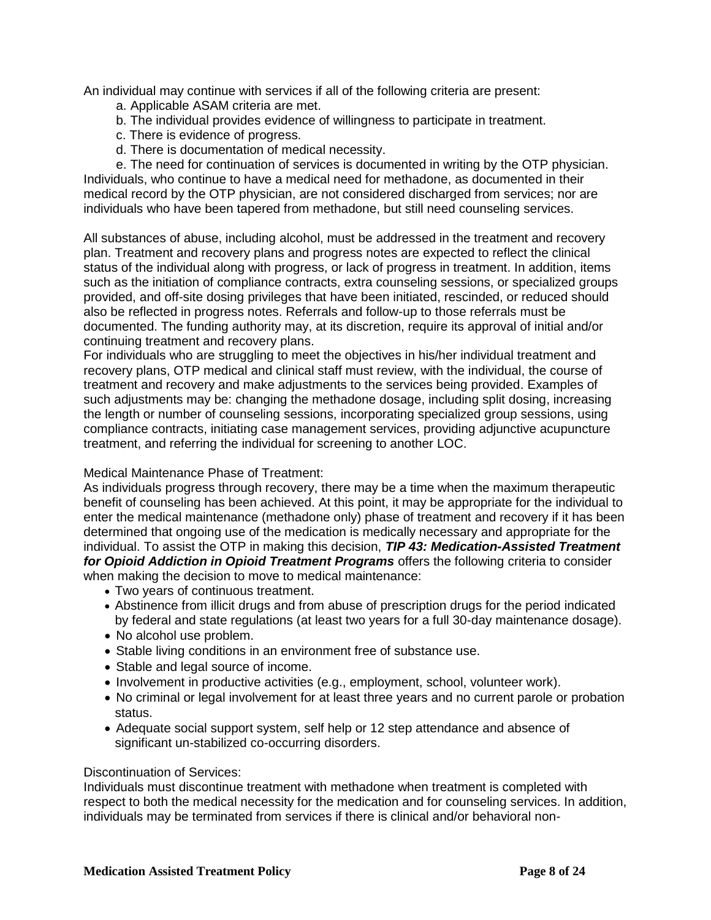An individual may continue with services if all of the following criteria are present:

- a. Applicable ASAM criteria are met.
- b. The individual provides evidence of willingness to participate in treatment.
- c. There is evidence of progress.
- d. There is documentation of medical necessity.

e. The need for continuation of services is documented in writing by the OTP physician. Individuals, who continue to have a medical need for methadone, as documented in their medical record by the OTP physician, are not considered discharged from services; nor are individuals who have been tapered from methadone, but still need counseling services.

All substances of abuse, including alcohol, must be addressed in the treatment and recovery plan. Treatment and recovery plans and progress notes are expected to reflect the clinical status of the individual along with progress, or lack of progress in treatment. In addition, items such as the initiation of compliance contracts, extra counseling sessions, or specialized groups provided, and off-site dosing privileges that have been initiated, rescinded, or reduced should also be reflected in progress notes. Referrals and follow-up to those referrals must be documented. The funding authority may, at its discretion, require its approval of initial and/or continuing treatment and recovery plans.

For individuals who are struggling to meet the objectives in his/her individual treatment and recovery plans, OTP medical and clinical staff must review, with the individual, the course of treatment and recovery and make adjustments to the services being provided. Examples of such adjustments may be: changing the methadone dosage, including split dosing, increasing the length or number of counseling sessions, incorporating specialized group sessions, using compliance contracts, initiating case management services, providing adjunctive acupuncture treatment, and referring the individual for screening to another LOC.

## Medical Maintenance Phase of Treatment:

As individuals progress through recovery, there may be a time when the maximum therapeutic benefit of counseling has been achieved. At this point, it may be appropriate for the individual to enter the medical maintenance (methadone only) phase of treatment and recovery if it has been determined that ongoing use of the medication is medically necessary and appropriate for the individual. To assist the OTP in making this decision, *TIP 43: Medication-Assisted Treatment for Opioid Addiction in Opioid Treatment Programs* offers the following criteria to consider when making the decision to move to medical maintenance:

- Two years of continuous treatment.
- Abstinence from illicit drugs and from abuse of prescription drugs for the period indicated by federal and state regulations (at least two years for a full 30-day maintenance dosage).
- No alcohol use problem.
- Stable living conditions in an environment free of substance use.
- Stable and legal source of income.
- Involvement in productive activities (e.g., employment, school, volunteer work).
- No criminal or legal involvement for at least three years and no current parole or probation status.
- Adequate social support system, self help or 12 step attendance and absence of significant un-stabilized co-occurring disorders.

### Discontinuation of Services:

Individuals must discontinue treatment with methadone when treatment is completed with respect to both the medical necessity for the medication and for counseling services. In addition, individuals may be terminated from services if there is clinical and/or behavioral non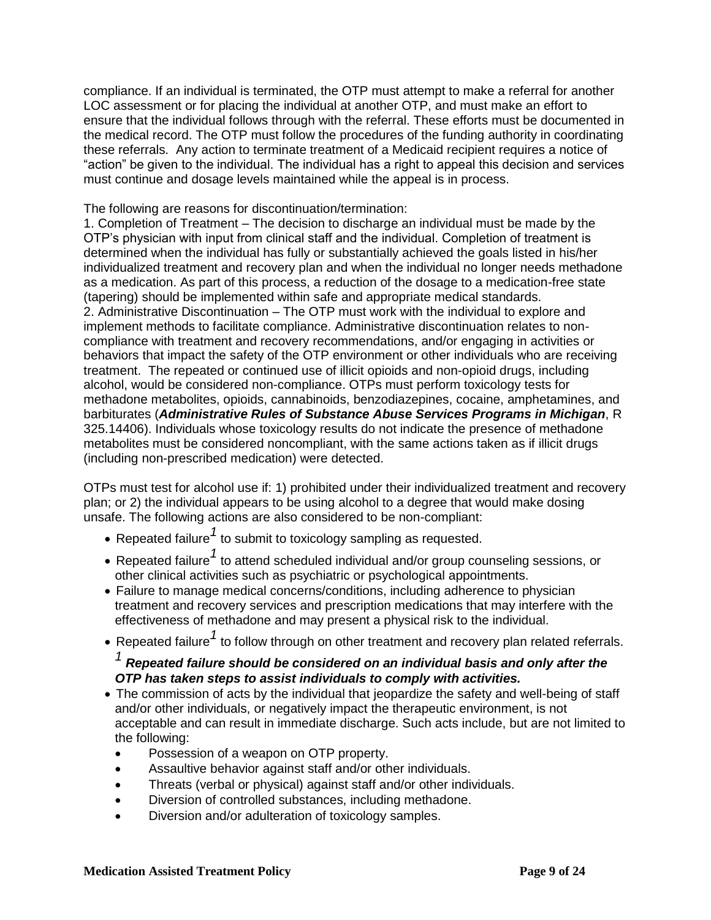compliance. If an individual is terminated, the OTP must attempt to make a referral for another LOC assessment or for placing the individual at another OTP, and must make an effort to ensure that the individual follows through with the referral. These efforts must be documented in the medical record. The OTP must follow the procedures of the funding authority in coordinating these referrals. Any action to terminate treatment of a Medicaid recipient requires a notice of "action" be given to the individual. The individual has a right to appeal this decision and services must continue and dosage levels maintained while the appeal is in process.

### The following are reasons for discontinuation/termination:

1. Completion of Treatment – The decision to discharge an individual must be made by the OTP's physician with input from clinical staff and the individual. Completion of treatment is determined when the individual has fully or substantially achieved the goals listed in his/her individualized treatment and recovery plan and when the individual no longer needs methadone as a medication. As part of this process, a reduction of the dosage to a medication-free state (tapering) should be implemented within safe and appropriate medical standards. 2. Administrative Discontinuation – The OTP must work with the individual to explore and implement methods to facilitate compliance. Administrative discontinuation relates to noncompliance with treatment and recovery recommendations, and/or engaging in activities or behaviors that impact the safety of the OTP environment or other individuals who are receiving treatment. The repeated or continued use of illicit opioids and non-opioid drugs, including alcohol, would be considered non-compliance. OTPs must perform toxicology tests for methadone metabolites, opioids, cannabinoids, benzodiazepines, cocaine, amphetamines, and barbiturates (*Administrative Rules of Substance Abuse Services Programs in Michigan*, R 325.14406). Individuals whose toxicology results do not indicate the presence of methadone metabolites must be considered noncompliant, with the same actions taken as if illicit drugs (including non-prescribed medication) were detected.

OTPs must test for alcohol use if: 1) prohibited under their individualized treatment and recovery plan; or 2) the individual appears to be using alcohol to a degree that would make dosing unsafe. The following actions are also considered to be non-compliant:

- Repeated failure<sup>1</sup> to submit to toxicology sampling as requested.
- Repeated failure*1* to attend scheduled individual and/or group counseling sessions, or other clinical activities such as psychiatric or psychological appointments.
- Failure to manage medical concerns/conditions, including adherence to physician treatment and recovery services and prescription medications that may interfere with the effectiveness of methadone and may present a physical risk to the individual.
- Repeated failure<sup>1</sup> to follow through on other treatment and recovery plan related referrals.

# *<sup>1</sup>Repeated failure should be considered on an individual basis and only after the OTP has taken steps to assist individuals to comply with activities.*

- The commission of acts by the individual that jeopardize the safety and well-being of staff and/or other individuals, or negatively impact the therapeutic environment, is not acceptable and can result in immediate discharge. Such acts include, but are not limited to the following:
	- Possession of a weapon on OTP property.
	- Assaultive behavior against staff and/or other individuals.
	- Threats (verbal or physical) against staff and/or other individuals.
	- Diversion of controlled substances, including methadone.
	- Diversion and/or adulteration of toxicology samples.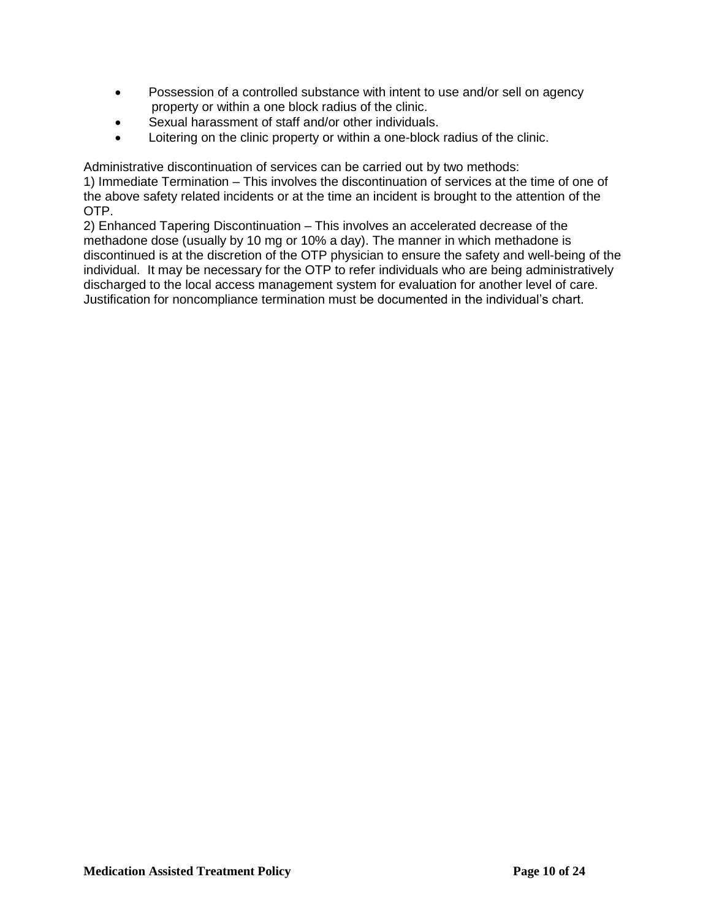- Possession of a controlled substance with intent to use and/or sell on agency property or within a one block radius of the clinic.
- Sexual harassment of staff and/or other individuals.
- Loitering on the clinic property or within a one-block radius of the clinic.

Administrative discontinuation of services can be carried out by two methods:

1) Immediate Termination – This involves the discontinuation of services at the time of one of the above safety related incidents or at the time an incident is brought to the attention of the OTP.

2) Enhanced Tapering Discontinuation – This involves an accelerated decrease of the methadone dose (usually by 10 mg or 10% a day). The manner in which methadone is discontinued is at the discretion of the OTP physician to ensure the safety and well-being of the individual. It may be necessary for the OTP to refer individuals who are being administratively discharged to the local access management system for evaluation for another level of care. Justification for noncompliance termination must be documented in the individual's chart.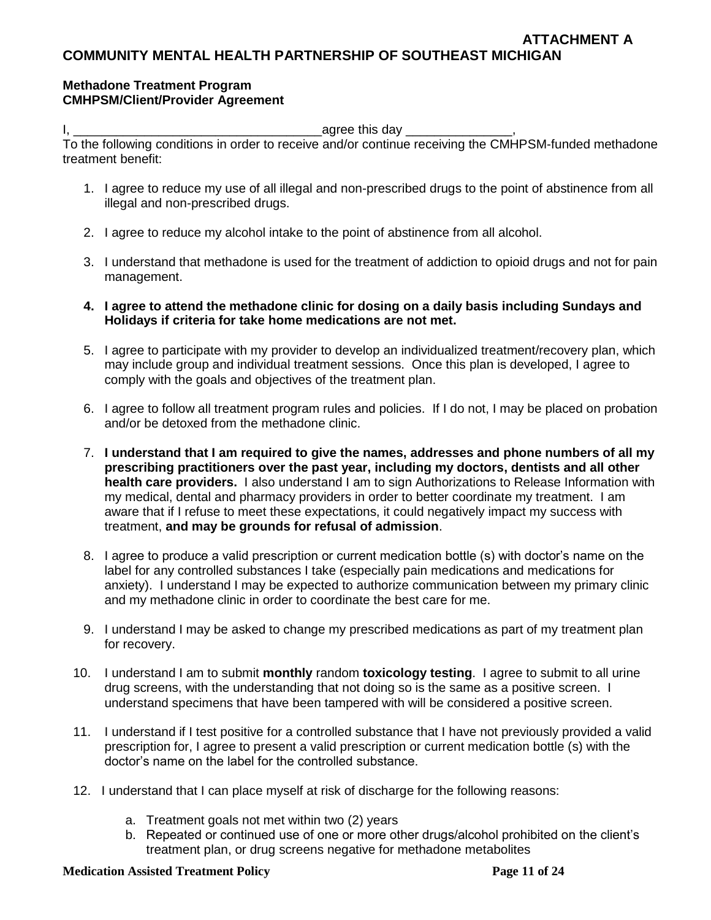## **Methadone Treatment Program CMHPSM/Client/Provider Agreement**

I, \_\_\_\_\_\_\_\_\_\_\_\_\_\_\_\_\_\_\_\_\_\_\_\_\_\_\_\_\_\_\_\_\_\_\_agree this day \_\_\_\_\_\_\_\_\_\_\_\_\_\_\_,

To the following conditions in order to receive and/or continue receiving the CMHPSM-funded methadone treatment benefit:

- 1. I agree to reduce my use of all illegal and non-prescribed drugs to the point of abstinence from all illegal and non-prescribed drugs.
- 2. I agree to reduce my alcohol intake to the point of abstinence from all alcohol.
- 3. I understand that methadone is used for the treatment of addiction to opioid drugs and not for pain management.
- **4. I agree to attend the methadone clinic for dosing on a daily basis including Sundays and Holidays if criteria for take home medications are not met.**
- 5. I agree to participate with my provider to develop an individualized treatment/recovery plan, which may include group and individual treatment sessions. Once this plan is developed, I agree to comply with the goals and objectives of the treatment plan.
- 6. I agree to follow all treatment program rules and policies. If I do not, I may be placed on probation and/or be detoxed from the methadone clinic.
- 7. **I understand that I am required to give the names, addresses and phone numbers of all my prescribing practitioners over the past year, including my doctors, dentists and all other health care providers.** I also understand I am to sign Authorizations to Release Information with my medical, dental and pharmacy providers in order to better coordinate my treatment. I am aware that if I refuse to meet these expectations, it could negatively impact my success with treatment, **and may be grounds for refusal of admission**.
- 8. I agree to produce a valid prescription or current medication bottle (s) with doctor's name on the label for any controlled substances I take (especially pain medications and medications for anxiety). I understand I may be expected to authorize communication between my primary clinic and my methadone clinic in order to coordinate the best care for me.
- 9. I understand I may be asked to change my prescribed medications as part of my treatment plan for recovery.
- 10. I understand I am to submit **monthly** random **toxicology testing**. I agree to submit to all urine drug screens, with the understanding that not doing so is the same as a positive screen. I understand specimens that have been tampered with will be considered a positive screen.
- 11. I understand if I test positive for a controlled substance that I have not previously provided a valid prescription for, I agree to present a valid prescription or current medication bottle (s) with the doctor's name on the label for the controlled substance.
- 12. I understand that I can place myself at risk of discharge for the following reasons:
	- a. Treatment goals not met within two (2) years
	- b. Repeated or continued use of one or more other drugs/alcohol prohibited on the client's treatment plan, or drug screens negative for methadone metabolites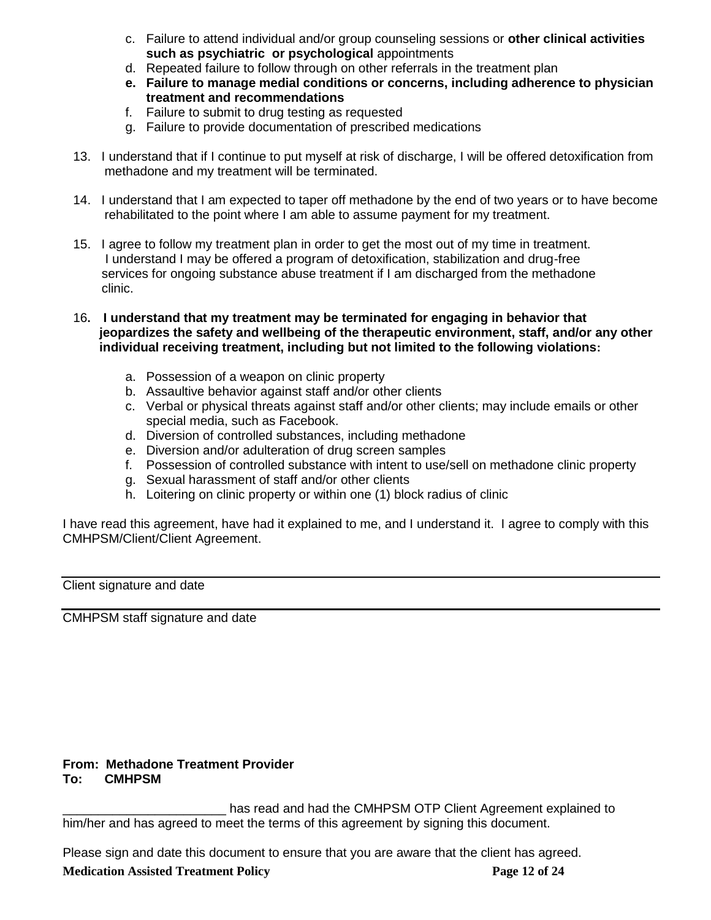- c. Failure to attend individual and/or group counseling sessions or **other clinical activities such as psychiatric or psychological** appointments
- d. Repeated failure to follow through on other referrals in the treatment plan
- **e. Failure to manage medial conditions or concerns, including adherence to physician treatment and recommendations**
- f. Failure to submit to drug testing as requested
- g. Failure to provide documentation of prescribed medications
- 13. I understand that if I continue to put myself at risk of discharge, I will be offered detoxification from methadone and my treatment will be terminated.
- 14. I understand that I am expected to taper off methadone by the end of two years or to have become rehabilitated to the point where I am able to assume payment for my treatment.
- 15. I agree to follow my treatment plan in order to get the most out of my time in treatment. I understand I may be offered a program of detoxification, stabilization and drug-free services for ongoing substance abuse treatment if I am discharged from the methadone clinic.
- 16**. I understand that my treatment may be terminated for engaging in behavior that jeopardizes the safety and wellbeing of the therapeutic environment, staff, and/or any other individual receiving treatment, including but not limited to the following violations:**
	- a. Possession of a weapon on clinic property
	- b. Assaultive behavior against staff and/or other clients
	- c. Verbal or physical threats against staff and/or other clients; may include emails or other special media, such as Facebook.
	- d. Diversion of controlled substances, including methadone
	- e. Diversion and/or adulteration of drug screen samples
	- f. Possession of controlled substance with intent to use/sell on methadone clinic property
	- g. Sexual harassment of staff and/or other clients
	- h. Loitering on clinic property or within one (1) block radius of clinic

I have read this agreement, have had it explained to me, and I understand it. I agree to comply with this CMHPSM/Client/Client Agreement.

Client signature and date

CMHPSM staff signature and date

#### **From: Methadone Treatment Provider To: CMHPSM**

has read and had the CMHPSM OTP Client Agreement explained to him/her and has agreed to meet the terms of this agreement by signing this document.

Please sign and date this document to ensure that you are aware that the client has agreed.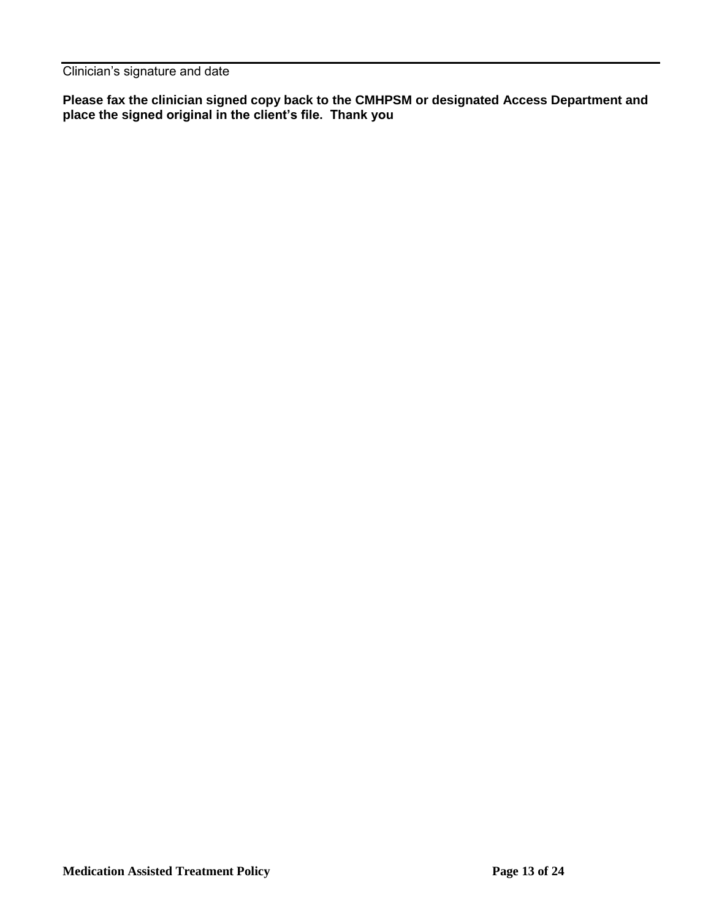Clinician's signature and date

**Please fax the clinician signed copy back to the CMHPSM or designated Access Department and place the signed original in the client's file. Thank you**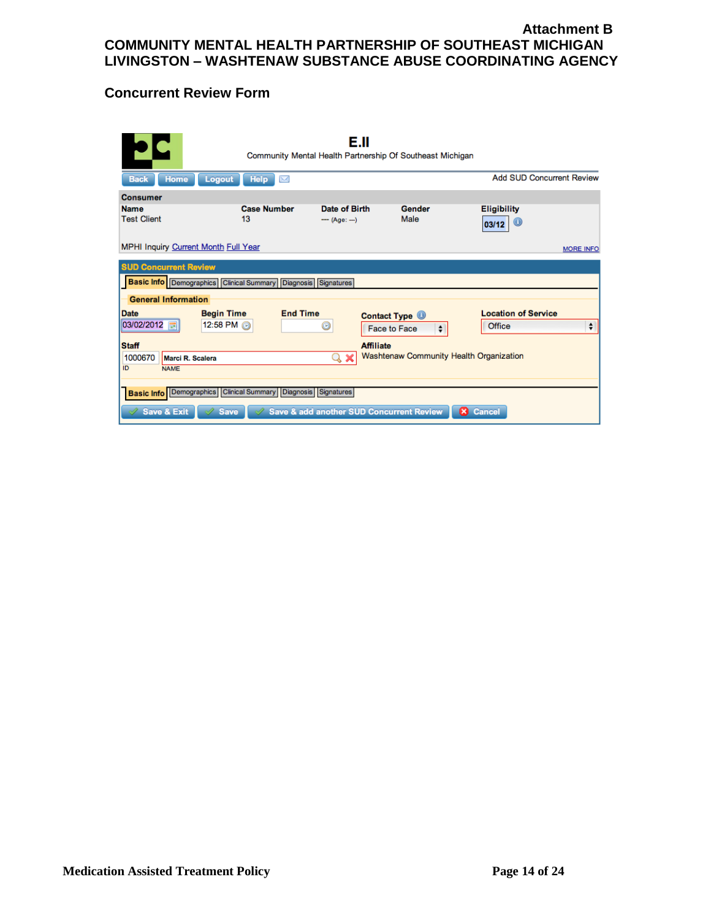## **Attachment B COMMUNITY MENTAL HEALTH PARTNERSHIP OF SOUTHEAST MICHIGAN LIVINGSTON – WASHTENAW SUBSTANCE ABUSE COORDINATING AGENCY**

# **Concurrent Review Form**

|                                                                      |                           | Е.II<br>Community Mental Health Partnership Of Southeast Michigan |                                         |                             |
|----------------------------------------------------------------------|---------------------------|-------------------------------------------------------------------|-----------------------------------------|-----------------------------|
| <b>Home</b><br>Logout<br><b>Back</b>                                 | <b>Help</b><br>$\searrow$ |                                                                   |                                         | Add SUD Concurrent Review   |
| <b>Consumer</b>                                                      |                           |                                                                   |                                         |                             |
| <b>Name</b><br><b>Test Client</b>                                    | <b>Case Number</b><br>13  | Date of Birth<br>$-$ (Age: --)                                    | Gender<br>Male                          | <b>Eligibility</b><br>03/12 |
| MPHI Inquiry Current Month Full Year                                 |                           |                                                                   |                                         | <b>MORE INFO</b>            |
| <b>SUD Concurrent Review</b>                                         |                           |                                                                   |                                         |                             |
| <b>Basic Info</b> Demographics Clinical Summary Diagnosis Signatures |                           |                                                                   |                                         |                             |
| <b>General Information</b>                                           |                           |                                                                   |                                         |                             |
| <b>Date</b><br><b>Begin Time</b>                                     | <b>End Time</b>           | <b>Contact Type ©</b>                                             |                                         | <b>Location of Service</b>  |
| 03/02/2012<br>12:58 PM @                                             |                           | O<br>Face to Face                                                 | $\div$                                  | ÷<br>Office                 |
| <b>Staff</b>                                                         |                           | <b>Affiliate</b>                                                  |                                         |                             |
| 1000670<br>Marci R. Scalera                                          |                           | $Q \times$                                                        | Washtenaw Community Health Organization |                             |
| ID<br><b>NAME</b>                                                    |                           |                                                                   |                                         |                             |
| <b>Basic Info</b> Demographics Clinical Summary Diagnosis Signatures |                           |                                                                   |                                         |                             |
|                                                                      |                           |                                                                   |                                         |                             |
| <b>Save &amp; Exit</b><br><b>Save</b>                                |                           | Save & add another SUD Concurrent Review                          | $\boldsymbol{\omega}$                   | Cancel                      |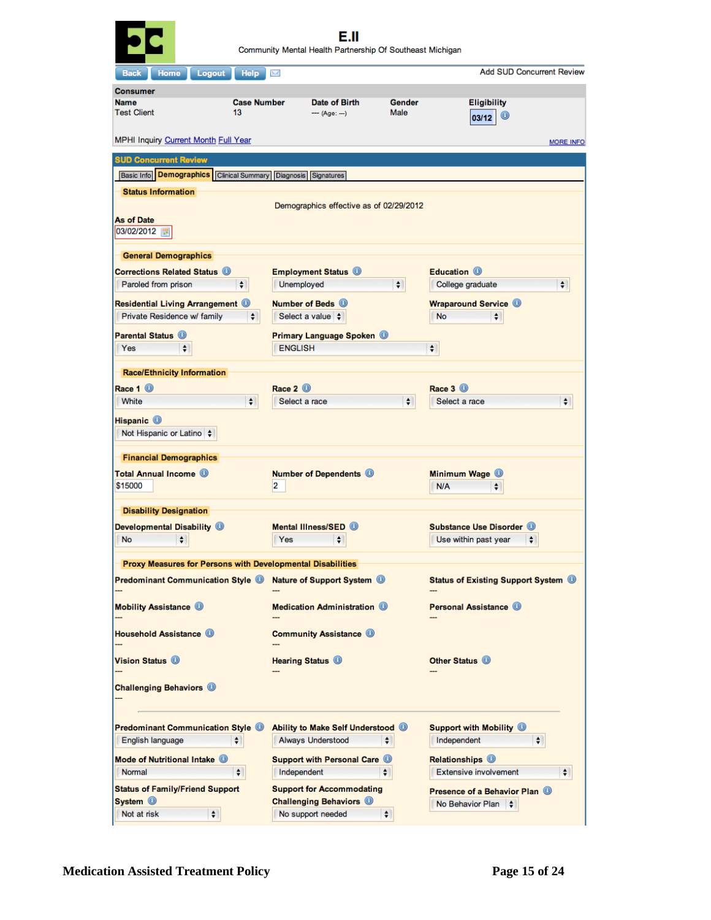| <b>Help</b><br>Home<br><b>Logout</b><br><b>Back</b>                    | X                                                                  |                       | <b>Add SUD Concurrent Review</b>                                  |
|------------------------------------------------------------------------|--------------------------------------------------------------------|-----------------------|-------------------------------------------------------------------|
| <b>Consumer</b>                                                        |                                                                    |                       |                                                                   |
| <b>Name</b><br><b>Test Client</b><br>13                                | <b>Case Number</b><br>Date of Birth<br>$-$ (Age: ---)              | <b>Gender</b><br>Male | <b>Eligibility</b><br>$\circledcirc$<br>03/12                     |
| MPHI Inquiry Current Month Full Year                                   |                                                                    |                       | <b>MORE INFO</b>                                                  |
| <b>SUD Concurrent Review</b>                                           |                                                                    |                       |                                                                   |
| Basic Info   Demographics   Clinical Summary   Diagnosis   Signatures  |                                                                    |                       |                                                                   |
| <b>Status Information</b>                                              |                                                                    |                       |                                                                   |
|                                                                        | Demographics effective as of 02/29/2012                            |                       |                                                                   |
| <b>As of Date</b><br>03/02/2012 图                                      |                                                                    |                       |                                                                   |
| <b>General Demographics</b>                                            |                                                                    |                       |                                                                   |
| <b>Corrections Related Status 1</b>                                    | <b>Employment Status</b> <sup>O</sup>                              |                       | Education <sup>1</sup>                                            |
| Paroled from prison<br>÷                                               | Unemployed                                                         | $\div$                | College graduate<br>$\div$                                        |
| <b>Residential Living Arrangement O</b><br>Private Residence w/ family | Number of Beds (D)<br>Select a value                               |                       | <b>Wraparound Service O</b><br><b>No</b>                          |
| $\div$                                                                 |                                                                    |                       | ٠                                                                 |
| <b>Parental Status ®</b><br>Yes                                        | <b>Primary Language Spoken</b><br><b>ENGLISH</b>                   |                       |                                                                   |
| $\div$                                                                 |                                                                    |                       | ÷                                                                 |
| <b>Race/Ethnicity Information</b>                                      |                                                                    |                       |                                                                   |
| Race 1 <b>O</b>                                                        | Race 2 <sup>(1)</sup>                                              |                       | Race 3 <b>O</b>                                                   |
| White<br>$\div$                                                        | Select a race                                                      | $\div$                | $\div$<br>Select a race                                           |
| Hispanic <sup>1</sup><br>Not Hispanic or Latino                        |                                                                    |                       |                                                                   |
| <b>Financial Demographics</b>                                          |                                                                    |                       |                                                                   |
| <b>Total Annual Income (B)</b><br>\$15000                              | <b>Number of Dependents</b><br>2                                   |                       | Minimum Wage <sup>1</sup><br>N/A<br>÷                             |
| <b>Disability Designation</b>                                          |                                                                    |                       |                                                                   |
| Developmental Disability <sup>1</sup>                                  | Mental Illness/SED (D)                                             |                       | Substance Use Disorder (D)                                        |
| $ \bullet $<br>No                                                      | ▲<br>Yes<br>$\mathbf{v}$                                           |                       | Use within past year                                              |
| Proxy Measures for Persons with Developmental Disabilities             |                                                                    |                       |                                                                   |
| <b>Predominant Communication Style ®</b>                               | Nature of Support System <sup>1</sup>                              |                       | <b>Status of Existing Support System O</b>                        |
| <b>Mobility Assistance O</b>                                           | <b>Medication Administration O</b>                                 |                       | <b>Personal Assistance (D)</b>                                    |
| <b>Household Assistance 1</b>                                          | <b>Community Assistance O</b>                                      |                       |                                                                   |
| Vision Status (D)                                                      | <b>Hearing Status O</b>                                            |                       | Other Status <sup>1</sup>                                         |
| <b>Challenging Behaviors O</b>                                         |                                                                    |                       |                                                                   |
| <b>Predominant Communication Style @</b>                               | Ability to Make Self Understood ®                                  |                       | <b>Support with Mobility O</b>                                    |
| English language<br>٠                                                  | Always Understood                                                  | ÷                     | Independent<br>÷                                                  |
| Mode of Nutritional Intake <sup>1</sup>                                | <b>Support with Personal Care O</b>                                |                       | <b>Relationships O</b>                                            |
| Normal<br>$\div$                                                       | Independent                                                        | $\div$                | <b>Extensive involvement</b><br>$\div$                            |
|                                                                        |                                                                    |                       |                                                                   |
| <b>Status of Family/Friend Support</b><br>System <sup>1</sup>          | <b>Support for Accommodating</b><br><b>Challenging Behaviors O</b> |                       | <b>Presence of a Behavior Plan (0)</b><br>No Behavior Plan $\div$ |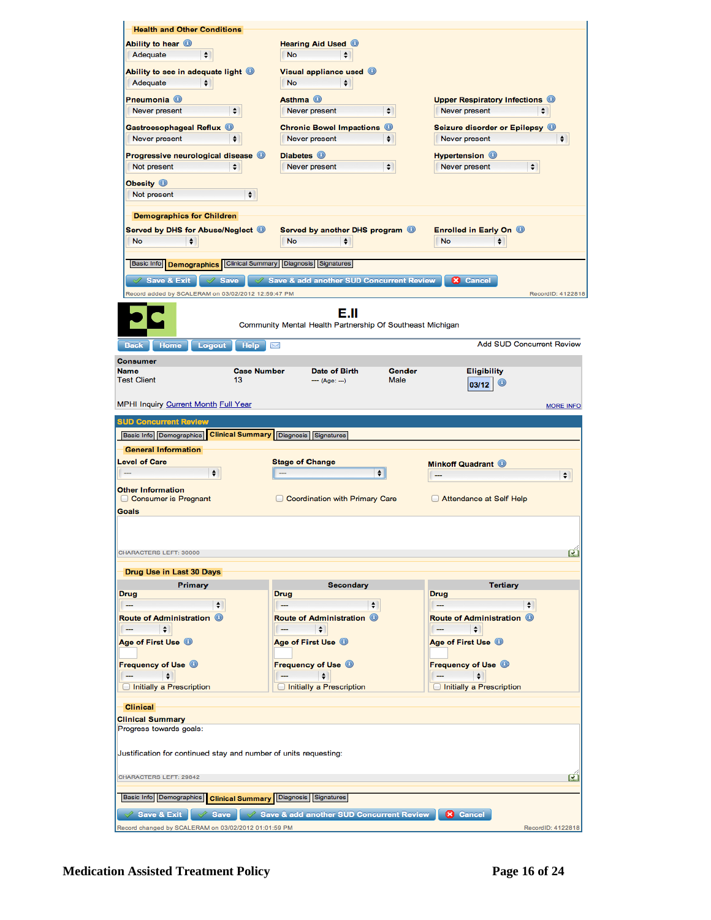| <b>Health and Other Conditions</b>                                  |                                                           |                                                           |
|---------------------------------------------------------------------|-----------------------------------------------------------|-----------------------------------------------------------|
| Ability to hear <b>O</b>                                            | <b>Hearing Aid Used ®</b>                                 |                                                           |
| ٠<br>Adequate                                                       | <b>No</b><br>÷                                            |                                                           |
| Ability to see in adequate light <b>O</b>                           | Visual appliance used <sup>1</sup>                        |                                                           |
| Adequate<br>÷                                                       | <b>No</b><br>÷                                            |                                                           |
|                                                                     | Asthma <sup>1</sup>                                       |                                                           |
| Pneumonia <b>O</b><br>$\div$<br>Never present                       | Never present<br>$\div$                                   | <b>Upper Respiratory Infections</b><br>Never present<br>÷ |
|                                                                     |                                                           |                                                           |
| Gastroesophageal Reflux <sup>1</sup>                                | <b>Chronic Bowel Impactions O</b>                         | Seizure disorder or Epilepsy (9)                          |
| Never present<br>÷                                                  | Never present<br>÷                                        | Never present<br>÷                                        |
| Progressive neurological disease <b>O</b>                           | Diabetes <sup>O</sup>                                     | <b>Hypertension O</b>                                     |
| Not present<br>÷                                                    | $\div$<br>Never present                                   | ÷<br>Never present                                        |
| Obesity <b>O</b>                                                    |                                                           |                                                           |
| Not present<br>$\div$                                               |                                                           |                                                           |
| <b>Demographics for Children</b>                                    |                                                           |                                                           |
| Served by DHS for Abuse/Neglect <sup>@</sup>                        | Served by another DHS program <sup>1</sup>                | Enrolled in Early On <sup>1</sup>                         |
| <b>No</b><br>÷                                                      | <b>No</b><br>÷                                            | No<br>÷                                                   |
|                                                                     |                                                           |                                                           |
| Basic Info <b>Demographics</b>                                      | Clinical Summary Diagnosis Signatures                     |                                                           |
| Save & Exit<br>$\vee$ Save<br>Í                                     | Save & add another SUD Concurrent Review                  | <b>X</b> Cancel                                           |
| Record added by SCALERAM on 03/02/2012 12:59:47 PM                  |                                                           | RecordID: 4122818                                         |
|                                                                     |                                                           |                                                           |
|                                                                     | E.II                                                      |                                                           |
|                                                                     | Community Mental Health Partnership Of Southeast Michigan |                                                           |
| <b>Help</b><br><b>Home</b><br>Logout<br>Back                        | X                                                         | <b>Add SUD Concurrent Review</b>                          |
| <b>Consumer</b>                                                     |                                                           |                                                           |
| <b>Name</b>                                                         | <b>Case Number</b><br><b>Date of Birth</b><br>Gender      | <b>Eligibility</b>                                        |
| <b>Test Client</b><br>13                                            | Male<br>--- (Age: ---)                                    | $\circledcirc$<br>03/12                                   |
|                                                                     |                                                           |                                                           |
|                                                                     |                                                           |                                                           |
| MPHI Inquiry Current Month Full Year                                |                                                           | <b>MORE INFO</b>                                          |
| <b>SUD Concurrent Review</b>                                        |                                                           |                                                           |
| Basic Info Demographics   Clinical Summary   Diagnosis   Signatures |                                                           |                                                           |
| <b>General Information</b>                                          |                                                           |                                                           |
| <b>Level of Care</b>                                                | <b>Stage of Change</b>                                    | <b>Minkoff Quadrant</b>                                   |
| $\div$                                                              | $\div$                                                    | $\div$                                                    |
| <b>Other Information</b>                                            |                                                           |                                                           |
| Consumer is Pregnant                                                | Coordination with Primary Care                            | Attendance at Self Help                                   |
| Goals                                                               |                                                           |                                                           |
|                                                                     |                                                           |                                                           |
|                                                                     |                                                           |                                                           |
| CHARACTERS LEFT: 30000                                              |                                                           | ø                                                         |
| Drug Use in Last 30 Days                                            |                                                           |                                                           |
| Primary                                                             | <b>Secondary</b>                                          | <b>Tertiary</b>                                           |
| <b>Drug</b>                                                         | Drug                                                      | <b>Drug</b>                                               |
| $\div$<br>---                                                       | $\div$<br>---                                             | $\div$<br><u>  —</u>                                      |
| Route of Administration <sup>1</sup>                                | Route of Administration (D)                               | Route of Administration <b>O</b>                          |
| ÷                                                                   | ÷<br>$\overline{\phantom{a}}$                             | ÷                                                         |
| Age of First Use <sup>1</sup>                                       | Age of First Use <sup>1</sup>                             | Age of First Use <sup>1</sup>                             |
|                                                                     |                                                           |                                                           |
| <b>Frequency of Use ©</b><br>÷                                      | <b>Frequency of Use O</b><br>÷                            | <b>Frequency of Use @</b><br>÷                            |
| Initially a Prescription                                            | Initially a Prescription                                  | Initially a Prescription                                  |
|                                                                     |                                                           |                                                           |
| <b>Clinical</b>                                                     |                                                           |                                                           |
| <b>Clinical Summary</b>                                             |                                                           |                                                           |
| Progress towards goals:                                             |                                                           |                                                           |
|                                                                     |                                                           |                                                           |
| Justification for continued stay and number of units requesting:    |                                                           |                                                           |
| CHARACTERS LEFT: 29842                                              |                                                           | œ                                                         |
|                                                                     |                                                           |                                                           |
| Basic Info Demographics Clinical Summary                            | Diagnosis Signatures                                      |                                                           |
| <b>Save &amp; Exit</b><br><b>Save</b>                               | Save & add another SUD Concurrent Review                  | <b>X</b> Cancel                                           |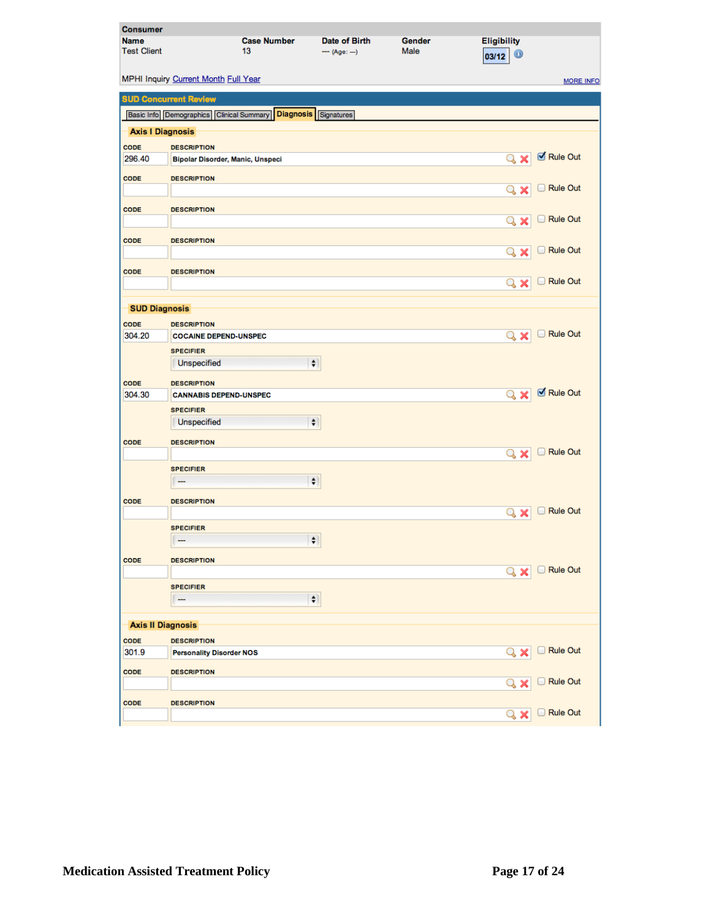| <b>Consumer</b>    |                                          |                                  |                             |        |                    |                  |
|--------------------|------------------------------------------|----------------------------------|-----------------------------|--------|--------------------|------------------|
| <b>Name</b>        |                                          | <b>Case Number</b>               | <b>Date of Birth</b>        | Gender | <b>Eligibility</b> |                  |
| <b>Test Client</b> |                                          | 13                               | $-$ (Age: --)               | Male   | $\bullet$<br>03/12 |                  |
|                    |                                          |                                  |                             |        |                    |                  |
|                    | MPHI Inquiry Current Month Full Year     |                                  |                             |        |                    | <b>MORE INFO</b> |
|                    | <b>SUD Concurrent Review</b>             |                                  |                             |        |                    |                  |
|                    | Basic Info Demographics Clinical Summary |                                  | <b>Diagnosis</b> Signatures |        |                    |                  |
|                    | <b>Axis I Diagnosis</b>                  |                                  |                             |        |                    |                  |
| CODE               | <b>DESCRIPTION</b>                       |                                  |                             |        |                    |                  |
| 296.40             |                                          | Bipolar Disorder, Manic, Unspeci |                             |        | $Q \times$         | Rule Out         |
| CODE               | <b>DESCRIPTION</b>                       |                                  |                             |        |                    |                  |
|                    |                                          |                                  |                             |        | Q<br>×             | Rule Out         |
| CODE               | <b>DESCRIPTION</b>                       |                                  |                             |        |                    |                  |
|                    |                                          |                                  |                             |        | U<br>Q<br>×        | <b>Rule Out</b>  |
|                    |                                          |                                  |                             |        |                    |                  |
| CODE               | <b>DESCRIPTION</b>                       |                                  |                             |        | Q<br>×             | Rule Out         |
|                    |                                          |                                  |                             |        |                    |                  |
| CODE               | <b>DESCRIPTION</b>                       |                                  |                             |        |                    | Rule Out         |
|                    |                                          |                                  |                             |        | Q<br>×             |                  |
|                    | <b>SUD Diagnosis</b>                     |                                  |                             |        |                    |                  |
| CODE               | <b>DESCRIPTION</b>                       |                                  |                             |        |                    |                  |
| 304.20             | <b>COCAINE DEPEND-UNSPEC</b>             |                                  |                             |        | Q<br>×             | Rule Out         |
|                    | <b>SPECIFIER</b>                         |                                  |                             |        |                    |                  |
|                    | Unspecified                              |                                  | $\ddot{\bullet}$            |        |                    |                  |
| CODE               | <b>DESCRIPTION</b>                       |                                  |                             |        |                    |                  |
| 304.30             | <b>CANNABIS DEPEND-UNSPEC</b>            |                                  |                             |        | $Q \times$         | Rule Out         |
|                    | <b>SPECIFIER</b>                         |                                  |                             |        |                    |                  |
|                    | Unspecified                              |                                  | $\div$                      |        |                    |                  |
| CODE               | <b>DESCRIPTION</b>                       |                                  |                             |        |                    |                  |
|                    |                                          |                                  |                             |        | $\propto$ x        | <b>Rule Out</b>  |
|                    | <b>SPECIFIER</b>                         |                                  |                             |        |                    |                  |
|                    |                                          |                                  | $\div$                      |        |                    |                  |
|                    |                                          |                                  |                             |        |                    |                  |
| CODE               | <b>DESCRIPTION</b>                       |                                  |                             |        | Q<br>x             | <b>Rule Out</b>  |
|                    | <b>SPECIFIER</b>                         |                                  |                             |        |                    |                  |
|                    | $\overline{\phantom{m}}$                 |                                  | $ \hspace{-.06in} \bullet $ |        |                    |                  |
|                    |                                          |                                  |                             |        |                    |                  |
| CODE               | <b>DESCRIPTION</b>                       |                                  |                             |        | $\alpha$ x         | Rule Out         |
|                    | <b>SPECIFIER</b>                         |                                  |                             |        |                    |                  |
|                    |                                          |                                  | $\ddot{\bullet}$            |        |                    |                  |
|                    |                                          |                                  |                             |        |                    |                  |
|                    | <b>Axis II Diagnosis</b>                 |                                  |                             |        |                    |                  |
| CODE               | <b>DESCRIPTION</b>                       |                                  |                             |        |                    |                  |
| 301.9              | <b>Personality Disorder NOS</b>          |                                  |                             |        | Q                  | Rule Out         |
| CODE               | <b>DESCRIPTION</b>                       |                                  |                             |        |                    |                  |
|                    |                                          |                                  |                             |        |                    | Rule Out         |
| CODE               | <b>DESCRIPTION</b>                       |                                  |                             |        |                    |                  |
|                    |                                          |                                  |                             |        | Q<br>×             | Rule Out         |
|                    |                                          |                                  |                             |        |                    |                  |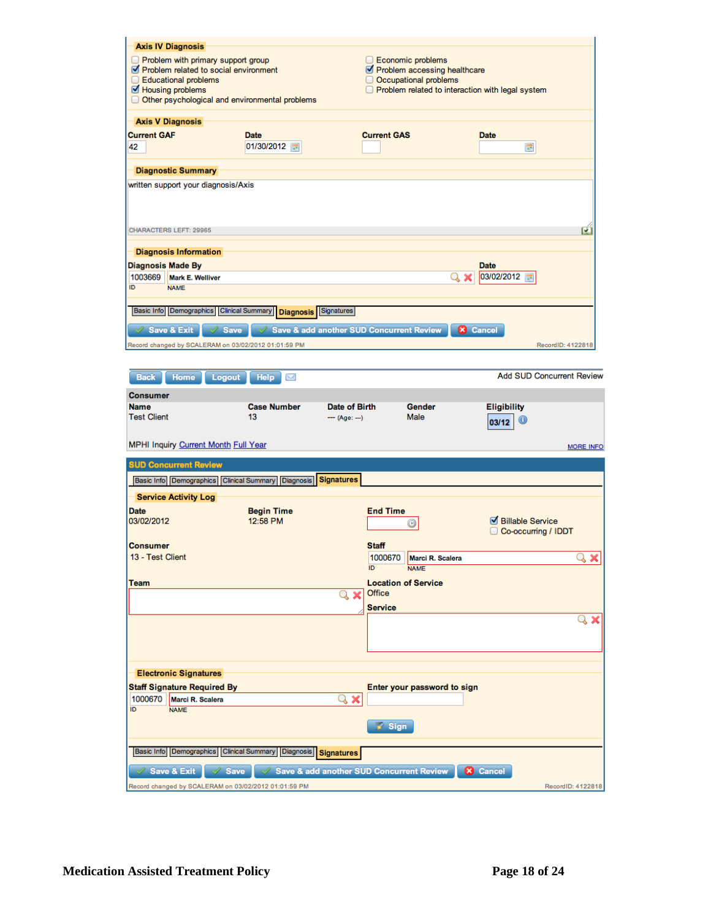|                    | <b>Axis IV Diagnosis</b>                             |                                                               |                     |                    |                              |                                                  |                                  |
|--------------------|------------------------------------------------------|---------------------------------------------------------------|---------------------|--------------------|------------------------------|--------------------------------------------------|----------------------------------|
|                    | Problem with primary support group                   |                                                               |                     |                    | Economic problems            |                                                  |                                  |
|                    | Problem related to social environment                |                                                               |                     |                    | Problem accessing healthcare |                                                  |                                  |
| ∩                  | <b>Educational problems</b>                          |                                                               |                     |                    | Occupational problems        |                                                  |                                  |
|                    | Housing problems                                     |                                                               |                     |                    |                              | Problem related to interaction with legal system |                                  |
|                    |                                                      | O Other psychological and environmental problems              |                     |                    |                              |                                                  |                                  |
|                    | <b>Axis V Diagnosis</b>                              |                                                               |                     |                    |                              |                                                  |                                  |
| <b>Current GAF</b> |                                                      | <b>Date</b>                                                   |                     | <b>Current GAS</b> |                              | <b>Date</b>                                      |                                  |
| 42                 |                                                      | 01/30/2012                                                    |                     |                    |                              |                                                  | <b>III</b>                       |
|                    | <b>Diagnostic Summary</b>                            |                                                               |                     |                    |                              |                                                  |                                  |
|                    | written support your diagnosis/Axis                  |                                                               |                     |                    |                              |                                                  |                                  |
|                    | CHARACTERS LEFT: 29965                               |                                                               |                     |                    |                              |                                                  | u                                |
|                    |                                                      |                                                               |                     |                    |                              |                                                  |                                  |
|                    | <b>Diagnosis Information</b>                         |                                                               |                     |                    |                              |                                                  |                                  |
| 1003669            | <b>Diagnosis Made By</b><br><b>Mark E. Welliver</b>  |                                                               |                     |                    |                              | <b>Date</b><br>03/02/2012<br>$\alpha$ x          |                                  |
| ID                 | <b>NAME</b>                                          |                                                               |                     |                    |                              |                                                  | <b>HIP</b>                       |
|                    |                                                      |                                                               |                     |                    |                              |                                                  |                                  |
|                    | Basic Info Demographics Clinical Summary             | <b>Diagnosis</b>                                              | Signatures          |                    |                              |                                                  |                                  |
| Í                  | <b>Save &amp; Exit</b><br><b>Save</b>                | Save & add another SUD Concurrent Review                      |                     |                    |                              | <b>X</b> Cancel                                  |                                  |
|                    | Record changed by SCALERAM on 03/02/2012 01:01:59 PM |                                                               |                     |                    |                              |                                                  | RecordID: 4122818                |
|                    |                                                      |                                                               |                     |                    |                              |                                                  |                                  |
| <b>Back</b>        | <b>Home</b><br>Logout                                | <b>Help</b><br>M                                              |                     |                    |                              |                                                  | <b>Add SUD Concurrent Review</b> |
| <b>Consumer</b>    |                                                      |                                                               |                     |                    |                              |                                                  |                                  |
| <b>Name</b>        |                                                      | <b>Case Number</b>                                            | Date of Birth       |                    | Gender                       | <b>Eligibility</b>                               |                                  |
| <b>Test Client</b> |                                                      | 13                                                            | $-$ (Age: --)       |                    | Male                         |                                                  | $^{\rm \textregistered}$         |
|                    |                                                      |                                                               |                     |                    |                              | 03/12                                            |                                  |
|                    | MPHI Inquiry Current Month Full Year                 |                                                               |                     |                    |                              |                                                  |                                  |
|                    |                                                      |                                                               |                     |                    |                              |                                                  | <b>MORE INFO</b>                 |
|                    | <b>SUD Concurrent Review</b>                         |                                                               |                     |                    |                              |                                                  |                                  |
|                    |                                                      | Basic Info Demographics Clinical Summary Diagnosis Signatures |                     |                    |                              |                                                  |                                  |
|                    | <b>Service Activity Log</b>                          |                                                               |                     |                    |                              |                                                  |                                  |
| Date               |                                                      | <b>Begin Time</b>                                             |                     | <b>End Time</b>    |                              |                                                  |                                  |
| 03/02/2012         |                                                      | 12:58 PM                                                      |                     |                    | Ø                            |                                                  | Billable Service                 |
|                    |                                                      |                                                               |                     |                    |                              |                                                  | Co-occurring / IDDT              |
| <b>Consumer</b>    |                                                      |                                                               |                     | <b>Staff</b>       |                              |                                                  |                                  |
| 13 - Test Client   |                                                      |                                                               |                     | 1000670            | Marci R. Scalera             |                                                  | Q<br>×                           |
|                    |                                                      |                                                               |                     | ID.                | <b>NAME</b>                  |                                                  |                                  |
| Team               |                                                      |                                                               |                     |                    | <b>Location of Service</b>   |                                                  |                                  |
|                    |                                                      |                                                               | $\mathbf{Q} \times$ | Office             |                              |                                                  |                                  |
|                    |                                                      |                                                               |                     | <b>Service</b>     |                              |                                                  |                                  |
|                    |                                                      |                                                               |                     |                    |                              |                                                  |                                  |
|                    |                                                      |                                                               |                     |                    |                              |                                                  |                                  |
|                    |                                                      |                                                               |                     |                    |                              |                                                  |                                  |
|                    |                                                      |                                                               |                     |                    |                              |                                                  |                                  |
|                    | <b>Electronic Signatures</b>                         |                                                               |                     |                    |                              |                                                  |                                  |
|                    | <b>Staff Signature Required By</b>                   |                                                               |                     |                    | Enter your password to sign  |                                                  |                                  |
| 1000670            | Marci R. Scalera                                     |                                                               | $\propto$ x         |                    |                              |                                                  |                                  |
| ID                 | <b>NAME</b>                                          |                                                               |                     |                    |                              |                                                  |                                  |
|                    |                                                      |                                                               |                     | <b>X</b> Sign      |                              |                                                  |                                  |
|                    |                                                      |                                                               |                     |                    |                              |                                                  |                                  |
|                    | Basic Info   Demographics                            | Clinical Summary   Diagnosis                                  | <b>Signatures</b>   |                    |                              |                                                  |                                  |
|                    | <b>Save &amp; Exit</b><br><b>Save</b>                | $\sqrt{\ }$ Save & add another SUD Concurrent Review          |                     |                    |                              | <b>X</b> Cancel                                  |                                  |
|                    |                                                      | Record changed by SCALERAM on 03/02/2012 01:01:59 PM          |                     |                    |                              |                                                  | RecordID: 4122818                |
|                    |                                                      |                                                               |                     |                    |                              |                                                  |                                  |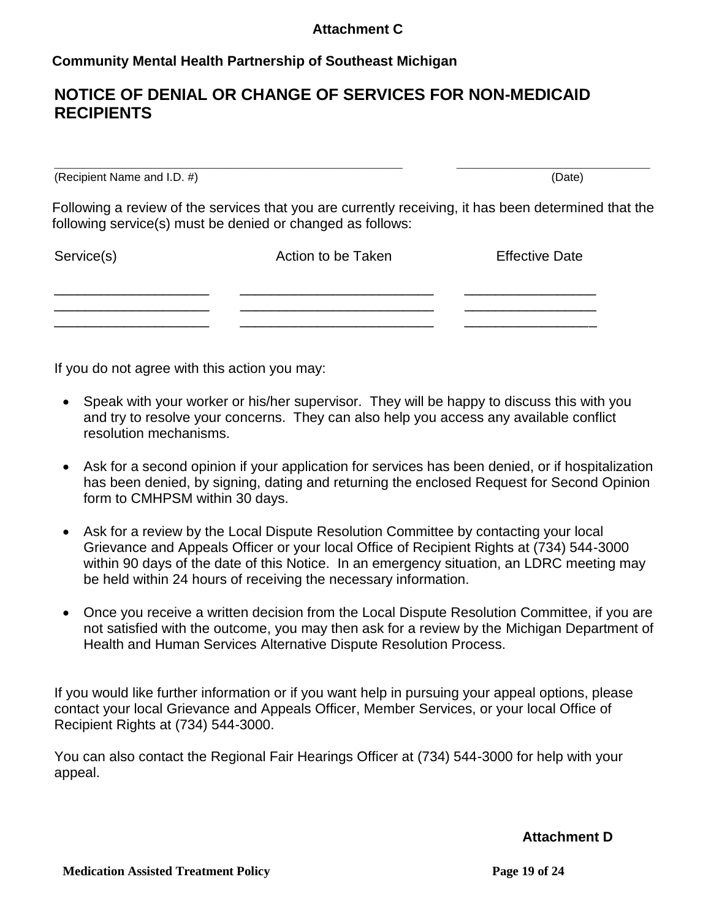## **Attachment C**

# **Community Mental Health Partnership of Southeast Michigan**

# **NOTICE OF DENIAL OR CHANGE OF SERVICES FOR NON-MEDICAID RECIPIENTS**

**\_\_\_\_\_\_\_\_\_\_\_\_\_\_\_\_\_\_\_\_\_\_\_\_\_\_\_\_\_\_\_\_\_\_\_\_\_\_\_\_\_\_\_\_\_ \_\_\_\_\_\_\_\_\_\_\_\_\_\_\_\_\_\_\_\_\_\_\_\_\_** (Recipient Name and I.D. #) (Date)

Following a review of the services that you are currently receiving, it has been determined that the following service(s) must be denied or changed as follows:

| Service(s) | Action to be Taken | <b>Effective Date</b> |
|------------|--------------------|-----------------------|
|            |                    |                       |
|            |                    |                       |

If you do not agree with this action you may:

- Speak with your worker or his/her supervisor. They will be happy to discuss this with you and try to resolve your concerns. They can also help you access any available conflict resolution mechanisms.
- Ask for a second opinion if your application for services has been denied, or if hospitalization has been denied, by signing, dating and returning the enclosed Request for Second Opinion form to CMHPSM within 30 days.
- Ask for a review by the Local Dispute Resolution Committee by contacting your local Grievance and Appeals Officer or your local Office of Recipient Rights at (734) 544-3000 within 90 days of the date of this Notice. In an emergency situation, an LDRC meeting may be held within 24 hours of receiving the necessary information.
- Once you receive a written decision from the Local Dispute Resolution Committee, if you are not satisfied with the outcome, you may then ask for a review by the Michigan Department of Health and Human Services Alternative Dispute Resolution Process.

If you would like further information or if you want help in pursuing your appeal options, please contact your local Grievance and Appeals Officer, Member Services, or your local Office of Recipient Rights at (734) 544-3000.

You can also contact the Regional Fair Hearings Officer at (734) 544-3000 for help with your appeal.

**Attachment D**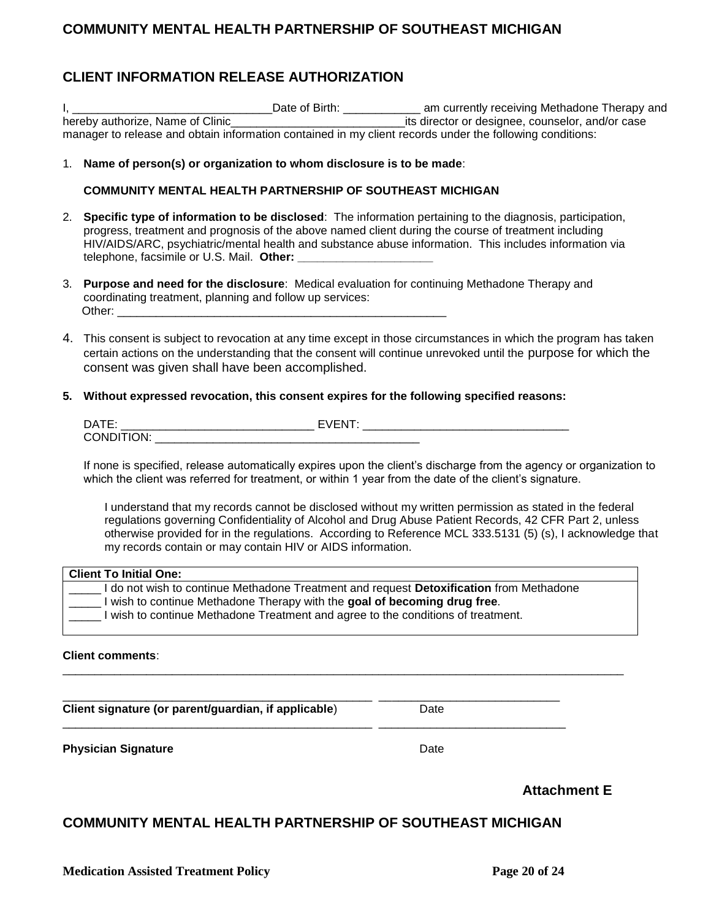## **COMMUNITY MENTAL HEALTH PARTNERSHIP OF SOUTHEAST MICHIGAN**

# **CLIENT INFORMATION RELEASE AUTHORIZATION**

I, \_\_\_\_\_\_\_\_\_\_\_\_\_\_\_\_\_\_\_\_\_\_\_\_\_\_\_\_\_\_\_Date of Birth: \_\_\_\_\_\_\_\_\_\_\_\_ am currently receiving Methadone Therapy and hereby authorize, Name of Clinic\_\_\_\_\_\_\_\_\_\_\_\_\_\_\_\_\_\_\_\_\_\_\_\_\_\_\_its director or designee, counselor, and/or case manager to release and obtain information contained in my client records under the following conditions:

1. **Name of person(s) or organization to whom disclosure is to be made**:

#### **COMMUNITY MENTAL HEALTH PARTNERSHIP OF SOUTHEAST MICHIGAN**

- 2. **Specific type of information to be disclosed**: The information pertaining to the diagnosis, participation, progress, treatment and prognosis of the above named client during the course of treatment including HIV/AIDS/ARC, psychiatric/mental health and substance abuse information. This includes information via telephone, facsimile or U.S. Mail. Other:
- 3. **Purpose and need for the disclosure**: Medical evaluation for continuing Methadone Therapy and coordinating treatment, planning and follow up services: **Other:**  $\blacksquare$
- 4. This consent is subject to revocation at any time except in those circumstances in which the program has taken certain actions on the understanding that the consent will continue unrevoked until the purpose for which the consent was given shall have been accomplished.

#### **5. Without expressed revocation, this consent expires for the following specified reasons:**

| <b>DATE</b> |  |
|-------------|--|
| $\cap$ NIE  |  |

If none is specified, release automatically expires upon the client's discharge from the agency or organization to which the client was referred for treatment, or within 1 year from the date of the client's signature.

I understand that my records cannot be disclosed without my written permission as stated in the federal regulations governing Confidentiality of Alcohol and Drug Abuse Patient Records, 42 CFR Part 2, unless otherwise provided for in the regulations. According to Reference MCL 333.5131 (5) (s), I acknowledge that my records contain or may contain HIV or AIDS information.

| <b>Client To Initial One:</b>                                                           |  |
|-----------------------------------------------------------------------------------------|--|
| I do not wish to continue Methadone Treatment and request Detoxification from Methadone |  |
| I wish to continue Methadone Therapy with the goal of becoming drug free.               |  |
| I wish to continue Methadone Treatment and agree to the conditions of treatment.        |  |

\_\_\_\_\_\_\_\_\_\_\_\_\_\_\_\_\_\_\_\_\_\_\_\_\_\_\_\_\_\_\_\_\_\_\_\_\_\_\_\_\_\_\_\_\_\_\_\_\_\_\_\_\_\_\_\_\_\_\_\_\_\_\_\_\_\_\_\_\_\_\_\_\_\_\_\_\_\_\_\_\_\_\_\_\_\_\_

#### **Client comments**:

\_\_\_\_\_\_\_\_\_\_\_\_\_\_\_\_\_\_\_\_\_\_\_\_\_\_\_\_\_\_\_\_\_\_\_\_\_\_\_\_\_\_\_\_\_\_\_\_ \_\_\_\_\_\_\_\_\_\_\_\_\_\_\_\_\_\_\_\_\_\_\_\_\_\_\_\_ **Client signature (or parent/guardian, if applicable)** Date

**Physician Signature**  Date **Date** 

## **COMMUNITY MENTAL HEALTH PARTNERSHIP OF SOUTHEAST MICHIGAN**

\_\_\_\_\_\_\_\_\_\_\_\_\_\_\_\_\_\_\_\_\_\_\_\_\_\_\_\_\_\_\_\_\_\_\_\_\_\_\_\_\_\_\_\_\_\_\_\_ \_\_\_\_\_\_\_\_\_\_\_\_\_\_\_\_\_\_\_\_\_\_\_\_\_\_\_\_\_

**Attachment E**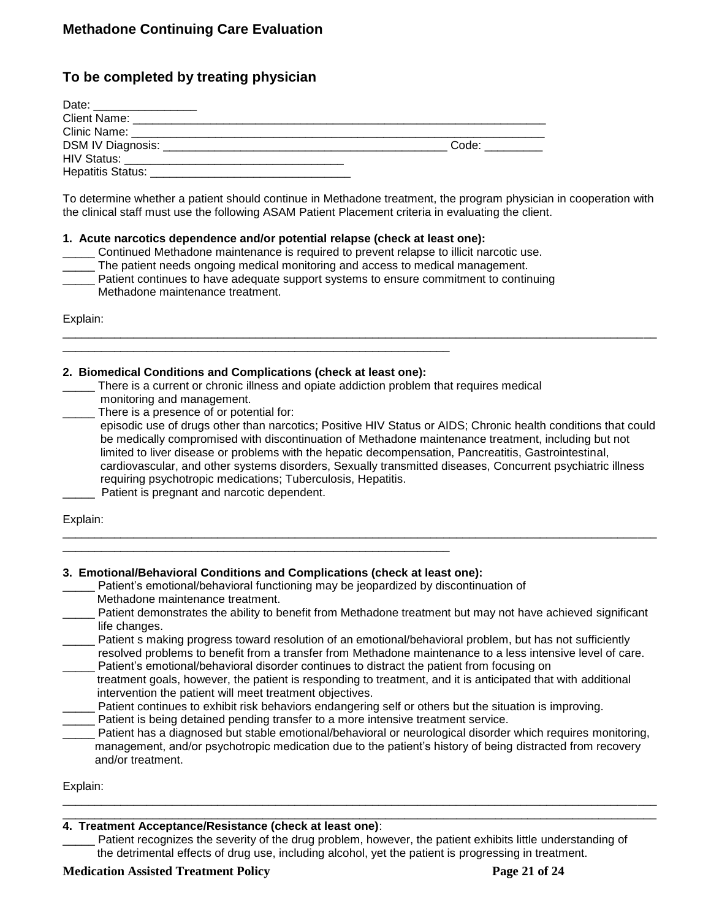## **To be completed by treating physician**

| Date:<br><u> 1980 - Antonio Alemania, prestavanja postava i predsjednje postava i predsjednje postava i predsjednje postava i predsjednje postava i predsjednje postava i predsjednje postava i predsjednje postava i predsjednje postava</u> |       |
|-----------------------------------------------------------------------------------------------------------------------------------------------------------------------------------------------------------------------------------------------|-------|
| Client Name: ________________                                                                                                                                                                                                                 |       |
| Clinic Name:                                                                                                                                                                                                                                  |       |
|                                                                                                                                                                                                                                               | Code: |
|                                                                                                                                                                                                                                               |       |
| Hepatitis Status: __                                                                                                                                                                                                                          |       |

To determine whether a patient should continue in Methadone treatment, the program physician in cooperation with the clinical staff must use the following ASAM Patient Placement criteria in evaluating the client.

#### **1. Acute narcotics dependence and/or potential relapse (check at least one):**

- \_\_\_\_\_ Continued Methadone maintenance is required to prevent relapse to illicit narcotic use.
- \_\_\_\_\_ The patient needs ongoing medical monitoring and access to medical management.
- Patient continues to have adequate support systems to ensure commitment to continuing Methadone maintenance treatment.

Explain:

| 2. Biomedical Conditions and Complications (check at least one):<br>There is a current or chronic illness and opiate addiction problem that requires medical<br>monitoring and management.<br>There is a presence of or potential for:<br>episodic use of drugs other than narcotics; Positive HIV Status or AIDS; Chronic health conditions that could                                                                                   |
|-------------------------------------------------------------------------------------------------------------------------------------------------------------------------------------------------------------------------------------------------------------------------------------------------------------------------------------------------------------------------------------------------------------------------------------------|
| be medically compromised with discontinuation of Methadone maintenance treatment, including but not<br>limited to liver disease or problems with the hepatic decompensation, Pancreatitis, Gastrointestinal,<br>cardiovascular, and other systems disorders, Sexually transmitted diseases, Concurrent psychiatric illness<br>requiring psychotropic medications; Tuberculosis, Hepatitis.<br>Patient is pregnant and narcotic dependent. |
| Explain:                                                                                                                                                                                                                                                                                                                                                                                                                                  |

### **3. Emotional/Behavioral Conditions and Complications (check at least one):**

- Patient's emotional/behavioral functioning may be jeopardized by discontinuation of Methadone maintenance treatment.
- Patient demonstrates the ability to benefit from Methadone treatment but may not have achieved significant life changes.

| Patient s making progress toward resolution of an emotional/behavioral problem, but has not sufficiently   |
|------------------------------------------------------------------------------------------------------------|
| resolved problems to benefit from a transfer from Methadone maintenance to a less intensive level of care. |
| Patient's emotional/behavioral disorder continues to distract the patient from focusing on                 |
|                                                                                                            |

- treatment goals, however, the patient is responding to treatment, and it is anticipated that with additional intervention the patient will meet treatment objectives.
- Patient continues to exhibit risk behaviors endangering self or others but the situation is improving.
- Patient is being detained pending transfer to a more intensive treatment service.
- Patient has a diagnosed but stable emotional/behavioral or neurological disorder which requires monitoring, management, and/or psychotropic medication due to the patient's history of being distracted from recovery and/or treatment.

Explain:

#### $\Box$ **4. Treatment Acceptance/Resistance (check at least one)**:

Patient recognizes the severity of the drug problem, however, the patient exhibits little understanding of the detrimental effects of drug use, including alcohol, yet the patient is progressing in treatment.

 $\Box$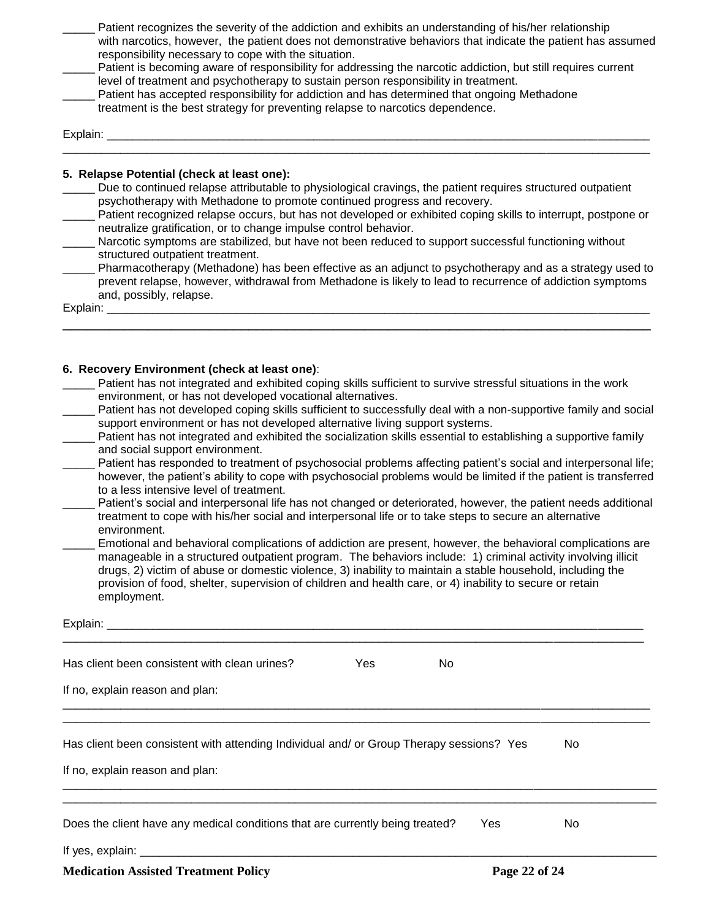|          | Patient recognizes the severity of the addiction and exhibits an understanding of his/her relationship<br>with narcotics, however, the patient does not demonstrative behaviors that indicate the patient has assumed<br>responsibility necessary to cope with the situation.<br>Patient is becoming aware of responsibility for addressing the narcotic addiction, but still requires current<br>level of treatment and psychotherapy to sustain person responsibility in treatment.<br>Patient has accepted responsibility for addiction and has determined that ongoing Methadone<br>treatment is the best strategy for preventing relapse to narcotics dependence. |
|----------|------------------------------------------------------------------------------------------------------------------------------------------------------------------------------------------------------------------------------------------------------------------------------------------------------------------------------------------------------------------------------------------------------------------------------------------------------------------------------------------------------------------------------------------------------------------------------------------------------------------------------------------------------------------------|
| Explain: |                                                                                                                                                                                                                                                                                                                                                                                                                                                                                                                                                                                                                                                                        |
|          | 5. Relapse Potential (check at least one):<br>Due to continued relapse attributable to physiological cravings, the patient requires structured outpatient                                                                                                                                                                                                                                                                                                                                                                                                                                                                                                              |
|          | psychotherapy with Methadone to promote continued progress and recovery.                                                                                                                                                                                                                                                                                                                                                                                                                                                                                                                                                                                               |
|          | Patient recognized relapse occurs, but has not developed or exhibited coping skills to interrupt, postpone or<br>neutralize gratification, or to change impulse control behavior.                                                                                                                                                                                                                                                                                                                                                                                                                                                                                      |

| Narcotic symptoms are stabilized, but have not been reduced to support successful functioning without |  |  |  |
|-------------------------------------------------------------------------------------------------------|--|--|--|
| structured outpatient treatment.                                                                      |  |  |  |

Pharmacotherapy (Methadone) has been effective as an adjunct to psychotherapy and as a strategy used to prevent relapse, however, withdrawal from Methadone is likely to lead to recurrence of addiction symptoms and, possibly, relapse.

\_\_\_\_\_\_\_\_\_\_\_\_\_\_\_\_\_\_\_\_\_\_\_\_\_\_\_\_\_\_\_\_\_\_\_\_\_\_\_\_\_\_\_\_\_\_\_\_\_\_\_\_\_\_\_\_\_\_\_\_\_\_\_\_\_\_\_\_\_\_\_\_\_\_\_\_

Explain: \_\_\_\_\_\_\_\_\_\_\_\_\_\_\_\_\_\_\_\_\_\_\_\_\_\_\_\_\_\_\_\_\_\_\_\_\_\_\_\_\_\_\_\_\_\_\_\_\_\_\_\_\_\_\_\_\_\_\_\_\_\_\_\_\_\_\_\_\_\_\_\_\_\_\_\_\_\_\_\_\_\_\_\_

#### **6. Recovery Environment (check at least one)**:

| Patient has not integrated and exhibited coping skills sufficient to survive stressful situations in the work     |
|-------------------------------------------------------------------------------------------------------------------|
| environment, or has not developed vocational alternatives.                                                        |
| Patient has not developed coping skills sufficient to successfully deal with a non-supportive family and social   |
| support environment or has not developed alternative living support systems.                                      |
| Detiant has not integrated and oubibited the coojelization oldlle concertial to cotabilishing a cumportive family |

- \_\_\_\_\_ Patient has not integrated and exhibited the socialization skills essential to establishing a supportive family and social support environment.
- Patient has responded to treatment of psychosocial problems affecting patient's social and interpersonal life; however, the patient's ability to cope with psychosocial problems would be limited if the patient is transferred to a less intensive level of treatment.
- Patient's social and interpersonal life has not changed or deteriorated, however, the patient needs additional treatment to cope with his/her social and interpersonal life or to take steps to secure an alternative environment.
- Emotional and behavioral complications of addiction are present, however, the behavioral complications are manageable in a structured outpatient program. The behaviors include: 1) criminal activity involving illicit drugs, 2) victim of abuse or domestic violence, 3) inability to maintain a stable household, including the provision of food, shelter, supervision of children and health care, or 4) inability to secure or retain employment.

| Has client been consistent with clean urines?                                                                               | Yes | No. |     |
|-----------------------------------------------------------------------------------------------------------------------------|-----|-----|-----|
| If no, explain reason and plan:                                                                                             |     |     |     |
| Has client been consistent with attending Individual and/ or Group Therapy sessions? Yes<br>If no, explain reason and plan: |     |     | No. |
| Does the client have any medical conditions that are currently being treated?                                               |     | Yes | No. |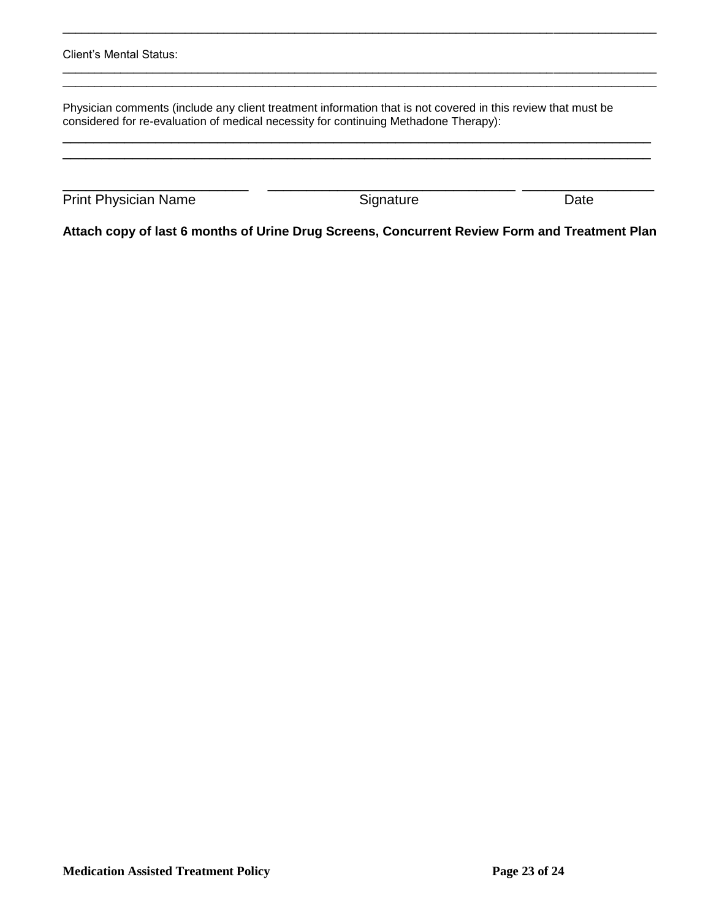| Client's Mental Status:                                                                                                                                                                              |           |      |  |
|------------------------------------------------------------------------------------------------------------------------------------------------------------------------------------------------------|-----------|------|--|
| Physician comments (include any client treatment information that is not covered in this review that must be<br>considered for re-evaluation of medical necessity for continuing Methadone Therapy): |           |      |  |
| <b>Print Physician Name</b>                                                                                                                                                                          | Signature | Date |  |

\_\_\_\_\_\_\_\_\_\_\_\_\_\_\_\_\_\_\_\_\_\_\_\_\_\_\_\_\_\_\_\_\_\_\_\_\_\_\_\_\_\_\_\_\_\_\_\_\_\_\_\_\_\_\_\_\_\_\_\_\_\_\_\_\_\_\_\_\_\_\_\_\_\_\_\_\_\_\_\_\_\_\_\_\_\_\_\_\_\_\_\_

**Attach copy of last 6 months of Urine Drug Screens, Concurrent Review Form and Treatment Plan**